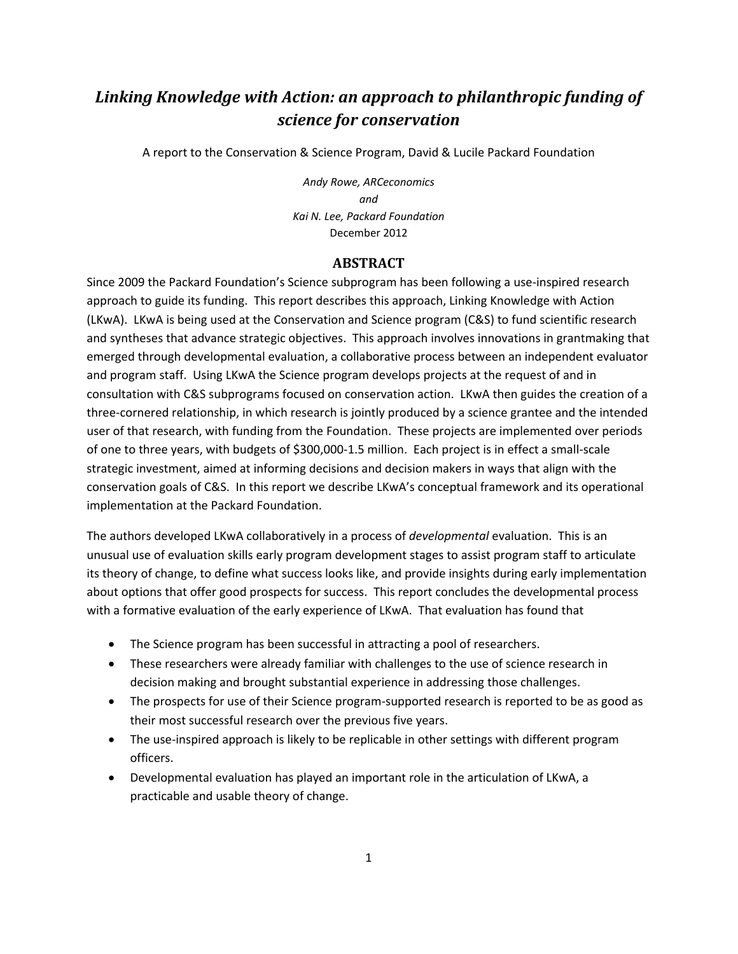# *Linking Knowledge with Action: an approach to philanthropic funding of science for conservation*

A report to the Conservation & Science Program, David & Lucile Packard Foundation

*Andy Rowe, ARCeconomics and Kai N. Lee, Packard Foundation*  December 2012

#### **ABSTRACT**

Since 2009 the Packard Foundation's Science subprogram has been following a use-inspired research approach to guide its funding. This report describes this approach, Linking Knowledge with Action (LKwA). LKwA is being used at the Conservation and Science program (C&S) to fund scientific research and syntheses that advance strategic objectives. This approach involves innovations in grantmaking that emerged through developmental evaluation, a collaborative process between an independent evaluator and program staff. Using LKwA the Science program develops projects at the request of and in consultation with C&S subprograms focused on conservation action. LKwA then guides the creation of a three‐cornered relationship, in which research is jointly produced by a science grantee and the intended user of that research, with funding from the Foundation. These projects are implemented over periods of one to three years, with budgets of \$300,000‐1.5 million. Each project is in effect a small‐scale strategic investment, aimed at informing decisions and decision makers in ways that align with the conservation goals of C&S. In this report we describe LKwA's conceptual framework and its operational implementation at the Packard Foundation.

The authors developed LKwA collaboratively in a process of *developmental* evaluation. This is an unusual use of evaluation skills early program development stages to assist program staff to articulate its theory of change, to define what success looks like, and provide insights during early implementation about options that offer good prospects for success. This report concludes the developmental process with a formative evaluation of the early experience of LKwA. That evaluation has found that

- The Science program has been successful in attracting a pool of researchers.
- These researchers were already familiar with challenges to the use of science research in decision making and brought substantial experience in addressing those challenges.
- The prospects for use of their Science program-supported research is reported to be as good as their most successful research over the previous five years.
- The use-inspired approach is likely to be replicable in other settings with different program officers.
- Developmental evaluation has played an important role in the articulation of LKwA, a practicable and usable theory of change.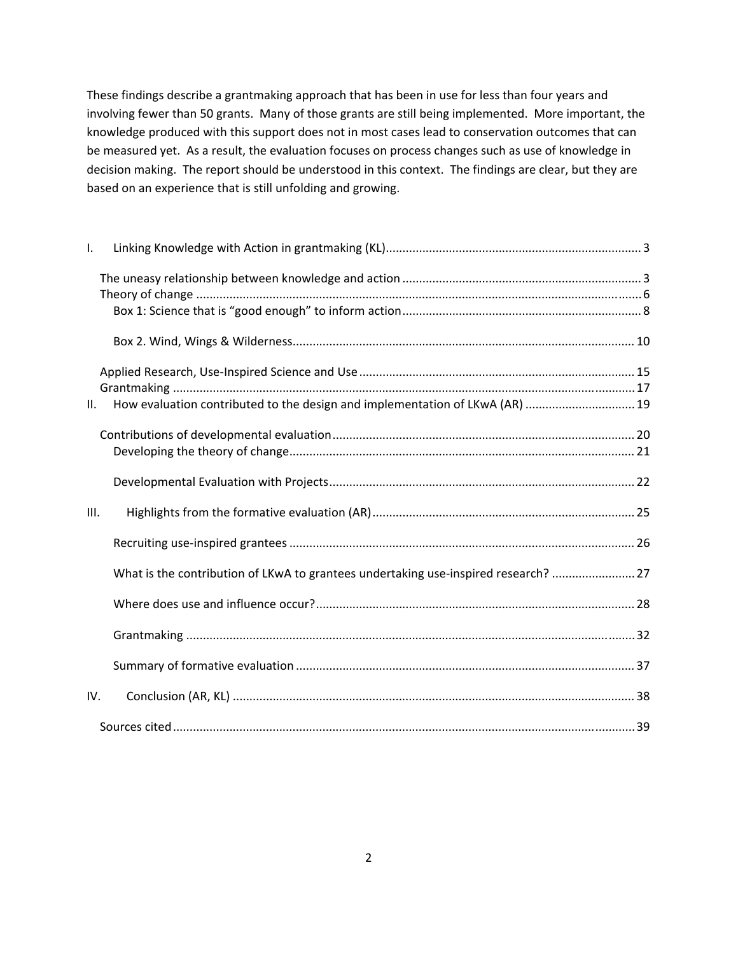These findings describe a grantmaking approach that has been in use for less than four years and involving fewer than 50 grants. Many of those grants are still being implemented. More important, the knowledge produced with this support does not in most cases lead to conservation outcomes that can be measured yet. As a result, the evaluation focuses on process changes such as use of knowledge in decision making. The report should be understood in this context. The findings are clear, but they are based on an experience that is still unfolding and growing.

| Τ.   |                                                                                     |  |
|------|-------------------------------------------------------------------------------------|--|
|      |                                                                                     |  |
|      |                                                                                     |  |
|      |                                                                                     |  |
|      |                                                                                     |  |
|      |                                                                                     |  |
|      |                                                                                     |  |
| II.  | How evaluation contributed to the design and implementation of LKwA (AR)  19        |  |
|      |                                                                                     |  |
|      |                                                                                     |  |
|      |                                                                                     |  |
| III. |                                                                                     |  |
|      |                                                                                     |  |
|      | What is the contribution of LKwA to grantees undertaking use-inspired research?  27 |  |
|      |                                                                                     |  |
|      |                                                                                     |  |
|      |                                                                                     |  |
| IV.  |                                                                                     |  |
|      |                                                                                     |  |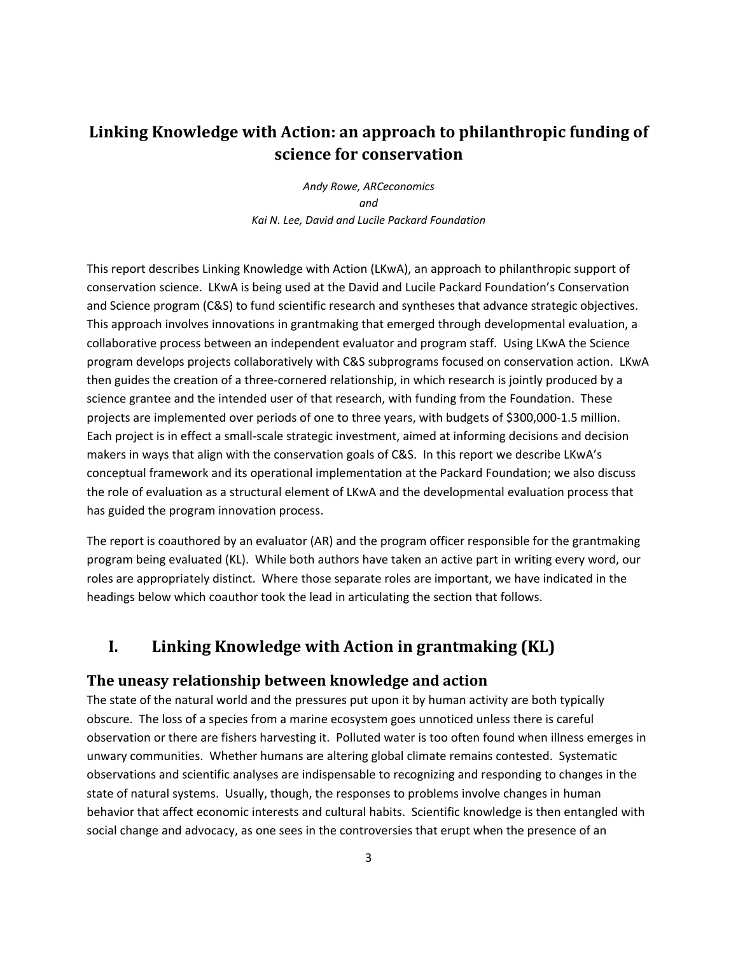# **Linking Knowledge with Action: an approach to philanthropic funding of science for conservation**

*Andy Rowe, ARCeconomics and Kai N. Lee, David and Lucile Packard Foundation* 

This report describes Linking Knowledge with Action (LKwA), an approach to philanthropic support of conservation science. LKwA is being used at the David and Lucile Packard Foundation's Conservation and Science program (C&S) to fund scientific research and syntheses that advance strategic objectives. This approach involves innovations in grantmaking that emerged through developmental evaluation, a collaborative process between an independent evaluator and program staff. Using LKwA the Science program develops projects collaboratively with C&S subprograms focused on conservation action. LKwA then guides the creation of a three‐cornered relationship, in which research is jointly produced by a science grantee and the intended user of that research, with funding from the Foundation. These projects are implemented over periods of one to three years, with budgets of \$300,000‐1.5 million. Each project is in effect a small‐scale strategic investment, aimed at informing decisions and decision makers in ways that align with the conservation goals of C&S. In this report we describe LKwA's conceptual framework and its operational implementation at the Packard Foundation; we also discuss the role of evaluation as a structural element of LKwA and the developmental evaluation process that has guided the program innovation process.

The report is coauthored by an evaluator (AR) and the program officer responsible for the grantmaking program being evaluated (KL). While both authors have taken an active part in writing every word, our roles are appropriately distinct. Where those separate roles are important, we have indicated in the headings below which coauthor took the lead in articulating the section that follows.

# **I. Linking Knowledge with Action in grantmaking (KL)**

### **The uneasy relationship between knowledge and action**

The state of the natural world and the pressures put upon it by human activity are both typically obscure. The loss of a species from a marine ecosystem goes unnoticed unless there is careful observation or there are fishers harvesting it. Polluted water is too often found when illness emerges in unwary communities. Whether humans are altering global climate remains contested. Systematic observations and scientific analyses are indispensable to recognizing and responding to changes in the state of natural systems. Usually, though, the responses to problems involve changes in human behavior that affect economic interests and cultural habits. Scientific knowledge is then entangled with social change and advocacy, as one sees in the controversies that erupt when the presence of an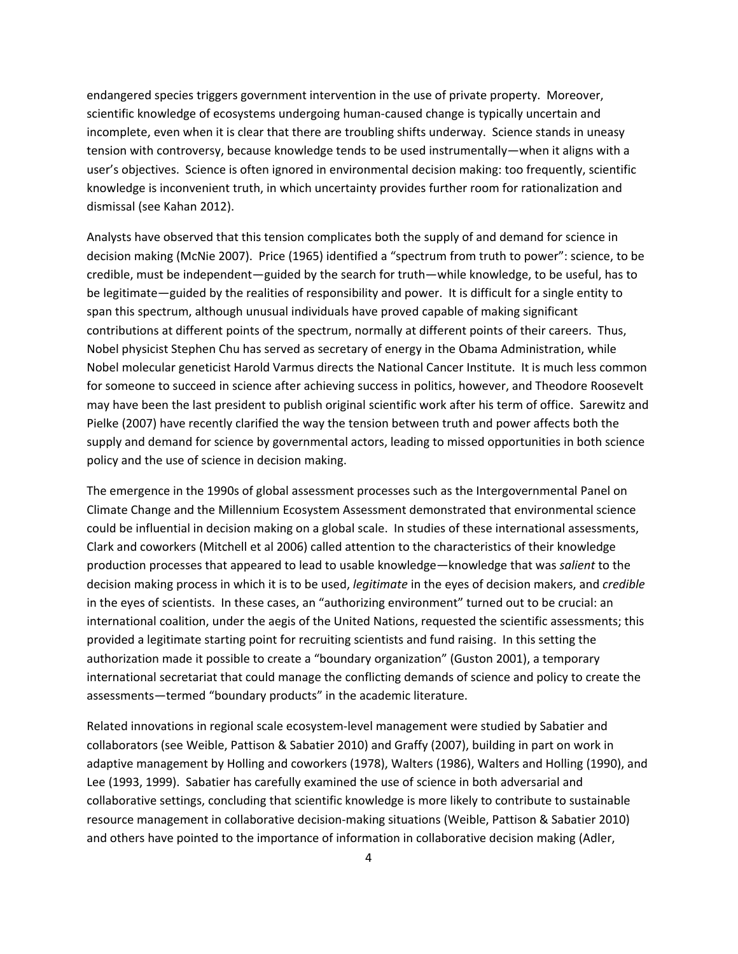endangered species triggers government intervention in the use of private property. Moreover, scientific knowledge of ecosystems undergoing human‐caused change is typically uncertain and incomplete, even when it is clear that there are troubling shifts underway. Science stands in uneasy tension with controversy, because knowledge tends to be used instrumentally—when it aligns with a user's objectives. Science is often ignored in environmental decision making: too frequently, scientific knowledge is inconvenient truth, in which uncertainty provides further room for rationalization and dismissal (see Kahan 2012).

Analysts have observed that this tension complicates both the supply of and demand for science in decision making (McNie 2007). Price (1965) identified a "spectrum from truth to power": science, to be credible, must be independent—guided by the search for truth—while knowledge, to be useful, has to be legitimate—guided by the realities of responsibility and power. It is difficult for a single entity to span this spectrum, although unusual individuals have proved capable of making significant contributions at different points of the spectrum, normally at different points of their careers. Thus, Nobel physicist Stephen Chu has served as secretary of energy in the Obama Administration, while Nobel molecular geneticist Harold Varmus directs the National Cancer Institute. It is much less common for someone to succeed in science after achieving success in politics, however, and Theodore Roosevelt may have been the last president to publish original scientific work after his term of office. Sarewitz and Pielke (2007) have recently clarified the way the tension between truth and power affects both the supply and demand for science by governmental actors, leading to missed opportunities in both science policy and the use of science in decision making.

The emergence in the 1990s of global assessment processes such as the Intergovernmental Panel on Climate Change and the Millennium Ecosystem Assessment demonstrated that environmental science could be influential in decision making on a global scale. In studies of these international assessments, Clark and coworkers (Mitchell et al 2006) called attention to the characteristics of their knowledge production processes that appeared to lead to usable knowledge—knowledge that was *salient* to the decision making process in which it is to be used, *legitimate* in the eyes of decision makers, and *credible* in the eyes of scientists. In these cases, an "authorizing environment" turned out to be crucial: an international coalition, under the aegis of the United Nations, requested the scientific assessments; this provided a legitimate starting point for recruiting scientists and fund raising. In this setting the authorization made it possible to create a "boundary organization" (Guston 2001), a temporary international secretariat that could manage the conflicting demands of science and policy to create the assessments—termed "boundary products" in the academic literature.

Related innovations in regional scale ecosystem‐level management were studied by Sabatier and collaborators (see Weible, Pattison & Sabatier 2010) and Graffy (2007), building in part on work in adaptive management by Holling and coworkers (1978), Walters (1986), Walters and Holling (1990), and Lee (1993, 1999). Sabatier has carefully examined the use of science in both adversarial and collaborative settings, concluding that scientific knowledge is more likely to contribute to sustainable resource management in collaborative decision‐making situations (Weible, Pattison & Sabatier 2010) and others have pointed to the importance of information in collaborative decision making (Adler,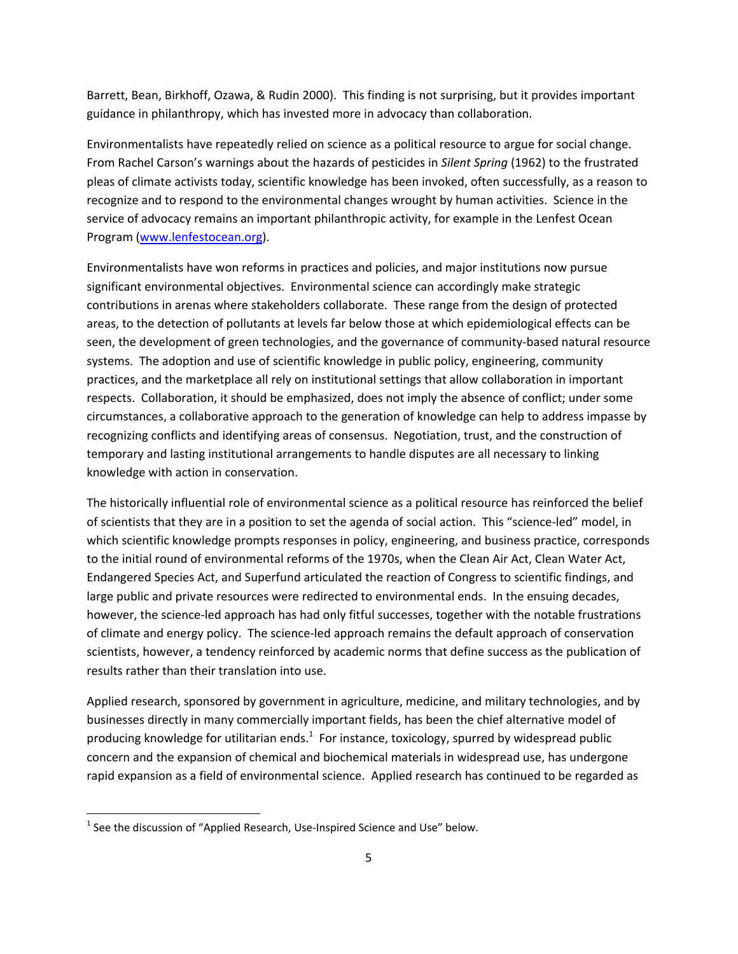Barrett, Bean, Birkhoff, Ozawa, & Rudin 2000). This finding is not surprising, but it provides important guidance in philanthropy, which has invested more in advocacy than collaboration.

Environmentalists have repeatedly relied on science as a political resource to argue for social change. From Rachel Carson's warnings about the hazards of pesticides in *Silent Spring* (1962) to the frustrated pleas of climate activists today, scientific knowledge has been invoked, often successfully, as a reason to recognize and to respond to the environmental changes wrought by human activities. Science in the service of advocacy remains an important philanthropic activity, for example in the Lenfest Ocean Program (www.lenfestocean.org).

Environmentalists have won reforms in practices and policies, and major institutions now pursue significant environmental objectives. Environmental science can accordingly make strategic contributions in arenas where stakeholders collaborate. These range from the design of protected areas, to the detection of pollutants at levels far below those at which epidemiological effects can be seen, the development of green technologies, and the governance of community-based natural resource systems. The adoption and use of scientific knowledge in public policy, engineering, community practices, and the marketplace all rely on institutional settings that allow collaboration in important respects. Collaboration, it should be emphasized, does not imply the absence of conflict; under some circumstances, a collaborative approach to the generation of knowledge can help to address impasse by recognizing conflicts and identifying areas of consensus. Negotiation, trust, and the construction of temporary and lasting institutional arrangements to handle disputes are all necessary to linking knowledge with action in conservation.

The historically influential role of environmental science as a political resource has reinforced the belief of scientists that they are in a position to set the agenda of social action. This "science‐led" model, in which scientific knowledge prompts responses in policy, engineering, and business practice, corresponds to the initial round of environmental reforms of the 1970s, when the Clean Air Act, Clean Water Act, Endangered Species Act, and Superfund articulated the reaction of Congress to scientific findings, and large public and private resources were redirected to environmental ends. In the ensuing decades, however, the science-led approach has had only fitful successes, together with the notable frustrations of climate and energy policy. The science‐led approach remains the default approach of conservation scientists, however, a tendency reinforced by academic norms that define success as the publication of results rather than their translation into use.

Applied research, sponsored by government in agriculture, medicine, and military technologies, and by businesses directly in many commercially important fields, has been the chief alternative model of producing knowledge for utilitarian ends. $^1$  For instance, toxicology, spurred by widespread public concern and the expansion of chemical and biochemical materials in widespread use, has undergone rapid expansion as a field of environmental science. Applied research has continued to be regarded as

 $<sup>1</sup>$  See the discussion of "Applied Research, Use-Inspired Science and Use" below.</sup>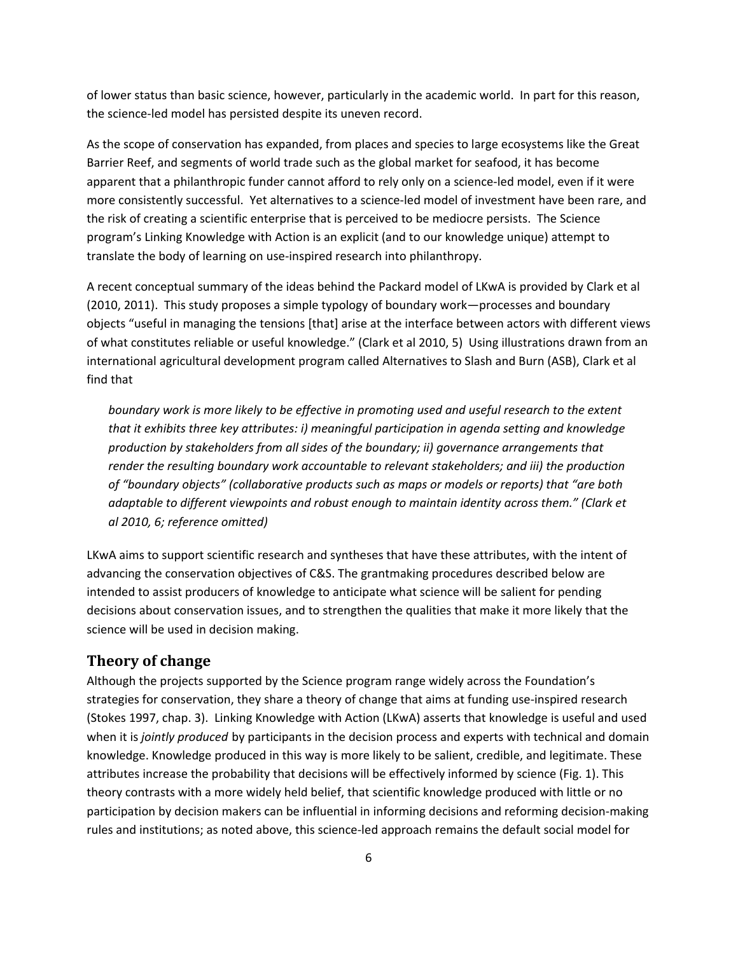of lower status than basic science, however, particularly in the academic world. In part for this reason, the science‐led model has persisted despite its uneven record.

As the scope of conservation has expanded, from places and species to large ecosystems like the Great Barrier Reef, and segments of world trade such as the global market for seafood, it has become apparent that a philanthropic funder cannot afford to rely only on a science‐led model, even if it were more consistently successful. Yet alternatives to a science‐led model of investment have been rare, and the risk of creating a scientific enterprise that is perceived to be mediocre persists. The Science program's Linking Knowledge with Action is an explicit (and to our knowledge unique) attempt to translate the body of learning on use‐inspired research into philanthropy.

A recent conceptual summary of the ideas behind the Packard model of LKwA is provided by Clark et al (2010, 2011). This study proposes a simple typology of boundary work—processes and boundary objects "useful in managing the tensions [that] arise at the interface between actors with different views of what constitutes reliable or useful knowledge." (Clark et al 2010, 5) Using illustrations drawn from an international agricultural development program called Alternatives to Slash and Burn (ASB), Clark et al find that

*boundary work is more likely to be effective in promoting used and useful research to the extent that it exhibits three key attributes: i) meaningful participation in agenda setting and knowledge production by stakeholders from all sides of the boundary; ii) governance arrangements that render the resulting boundary work accountable to relevant stakeholders; and iii) the production of "boundary objects" (collaborative products such as maps or models or reports) that "are both adaptable to different viewpoints and robust enough to maintain identity across them." (Clark et al 2010, 6; reference omitted)*

LKwA aims to support scientific research and syntheses that have these attributes, with the intent of advancing the conservation objectives of C&S. The grantmaking procedures described below are intended to assist producers of knowledge to anticipate what science will be salient for pending decisions about conservation issues, and to strengthen the qualities that make it more likely that the science will be used in decision making.

## **Theory of change**

Although the projects supported by the Science program range widely across the Foundation's strategies for conservation, they share a theory of change that aims at funding use-inspired research (Stokes 1997, chap. 3). Linking Knowledge with Action (LKwA) asserts that knowledge is useful and used when it is *jointly produced* by participants in the decision process and experts with technical and domain knowledge. Knowledge produced in this way is more likely to be salient, credible, and legitimate. These attributes increase the probability that decisions will be effectively informed by science (Fig. 1). This theory contrasts with a more widely held belief, that scientific knowledge produced with little or no participation by decision makers can be influential in informing decisions and reforming decision‐making rules and institutions; as noted above, this science‐led approach remains the default social model for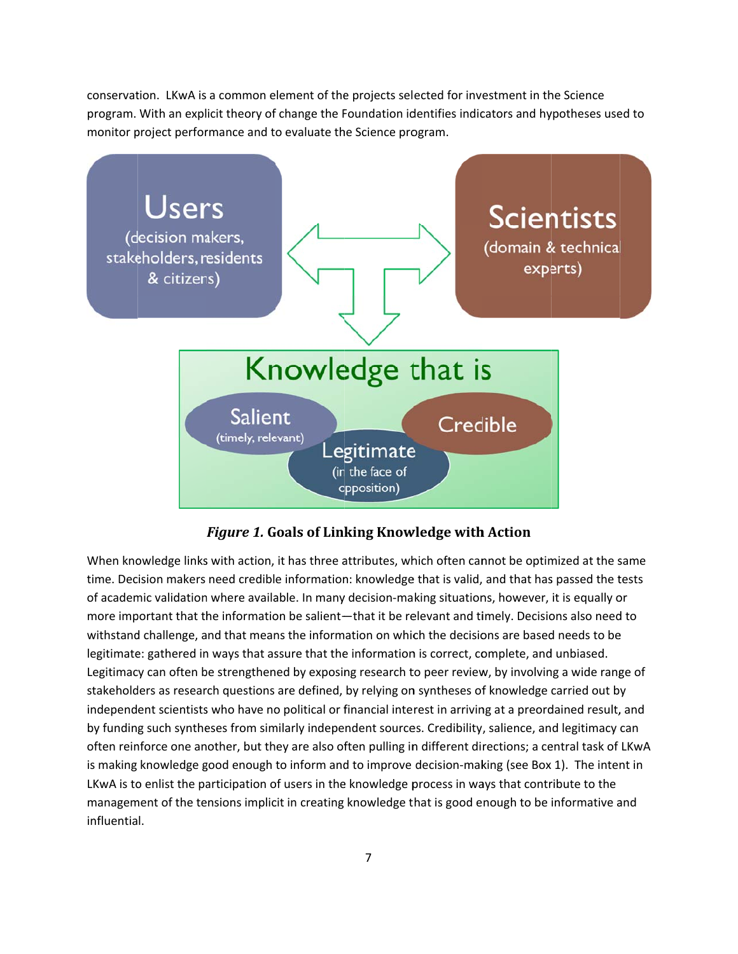conservation. LKwA is a common element of the projects selected for investment in the Science program. With an explicit theory of change the Foundation identifies indicators and hypotheses used to monitor project performance and to evaluate the Science program.



*Figure 1.* **G Goals of Link king Know wledge with h Action**

When knowledge links with action, it has three attributes, which often cannot be optimized at the same time. Decision makers need credible information: knowledge that is valid, and that has passed the tests of academic validation where available. In many decision-making situations, however, it is equally or more important that the information be salient—that it be relevant and timely. Decisions also need to withstand challenge, and that means the information on which the decisions are based needs to be legitimate: gathered in ways that assure that the information is correct, complete, and unbiased. withstand challenge, and that means the information on which the decisions are based needs to be<br>legitimate: gathered in ways that assure that the information is correct, complete, and unbiased.<br>Legitimacy can often be str stakeholders as research questions are defined, by relying on syntheses of knowledge carried out by independent scientists who have no political or financial interest in arriving at a preordained result, and by funding such syntheses from similarly independent sources. Credibility, salience, and legitimacy can often reinforce one another, but they are also often pulling in different directions; a central task of LKwA is making knowledge good enough to inform and to improve decision-making (see Box 1). The intent in LKwA is to enlist the participation of users in the knowledge process in ways that contribute to the management of the tensions implicit in creating knowledge that is good enough to be informative and influentia l.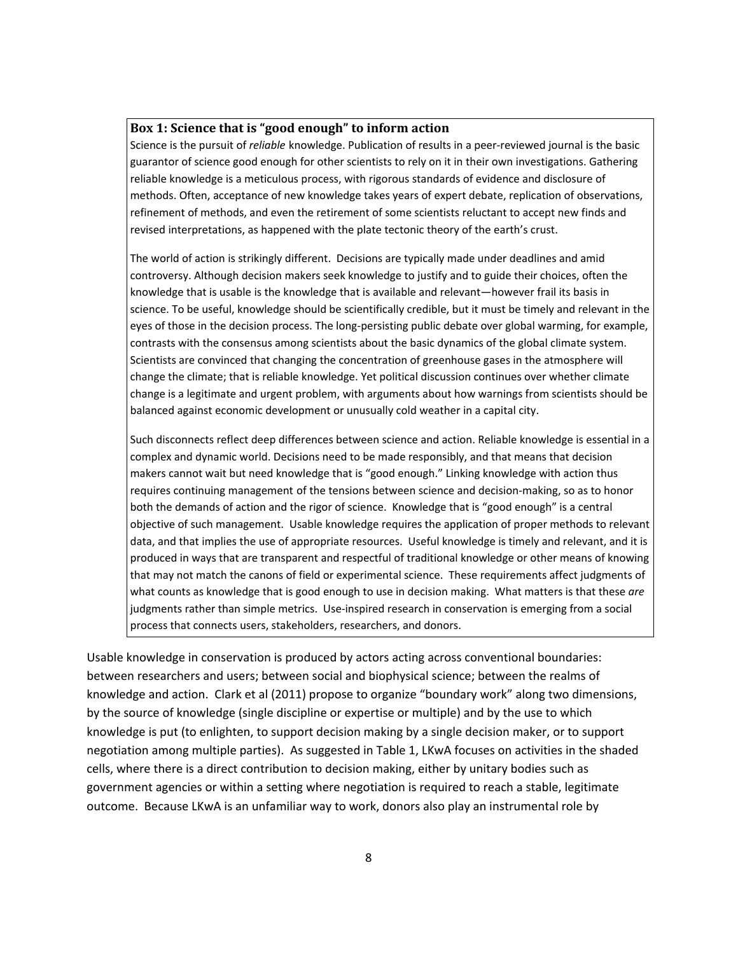#### **Box 1: Science that is "good enough" to inform action**

Science is the pursuit of *reliable* knowledge. Publication of results in a peer‐reviewed journal is the basic guarantor of science good enough for other scientists to rely on it in their own investigations. Gathering reliable knowledge is a meticulous process, with rigorous standards of evidence and disclosure of methods. Often, acceptance of new knowledge takes years of expert debate, replication of observations, refinement of methods, and even the retirement of some scientists reluctant to accept new finds and revised interpretations, as happened with the plate tectonic theory of the earth's crust.

The world of action is strikingly different. Decisions are typically made under deadlines and amid controversy. Although decision makers seek knowledge to justify and to guide their choices, often the knowledge that is usable is the knowledge that is available and relevant—however frail its basis in science. To be useful, knowledge should be scientifically credible, but it must be timely and relevant in the eyes of those in the decision process. The long-persisting public debate over global warming, for example, contrasts with the consensus among scientists about the basic dynamics of the global climate system. Scientists are convinced that changing the concentration of greenhouse gases in the atmosphere will change the climate; that is reliable knowledge. Yet political discussion continues over whether climate change is a legitimate and urgent problem, with arguments about how warnings from scientists should be balanced against economic development or unusually cold weather in a capital city.

Such disconnects reflect deep differences between science and action. Reliable knowledge is essential in a complex and dynamic world. Decisions need to be made responsibly, and that means that decision makers cannot wait but need knowledge that is "good enough." Linking knowledge with action thus requires continuing management of the tensions between science and decision‐making, so as to honor both the demands of action and the rigor of science. Knowledge that is "good enough" is a central objective of such management. Usable knowledge requires the application of proper methods to relevant data, and that implies the use of appropriate resources. Useful knowledge is timely and relevant, and it is produced in ways that are transparent and respectful of traditional knowledge or other means of knowing that may not match the canons of field or experimental science. These requirements affect judgments of what counts as knowledge that is good enough to use in decision making. What matters is that these *are* judgments rather than simple metrics. Use‐inspired research in conservation is emerging from a social process that connects users, stakeholders, researchers, and donors.

Usable knowledge in conservation is produced by actors acting across conventional boundaries: between researchers and users; between social and biophysical science; between the realms of knowledge and action. Clark et al (2011) propose to organize "boundary work" along two dimensions, by the source of knowledge (single discipline or expertise or multiple) and by the use to which knowledge is put (to enlighten, to support decision making by a single decision maker, or to support negotiation among multiple parties). As suggested in Table 1, LKwA focuses on activities in the shaded cells, where there is a direct contribution to decision making, either by unitary bodies such as government agencies or within a setting where negotiation is required to reach a stable, legitimate outcome. Because LKwA is an unfamiliar way to work, donors also play an instrumental role by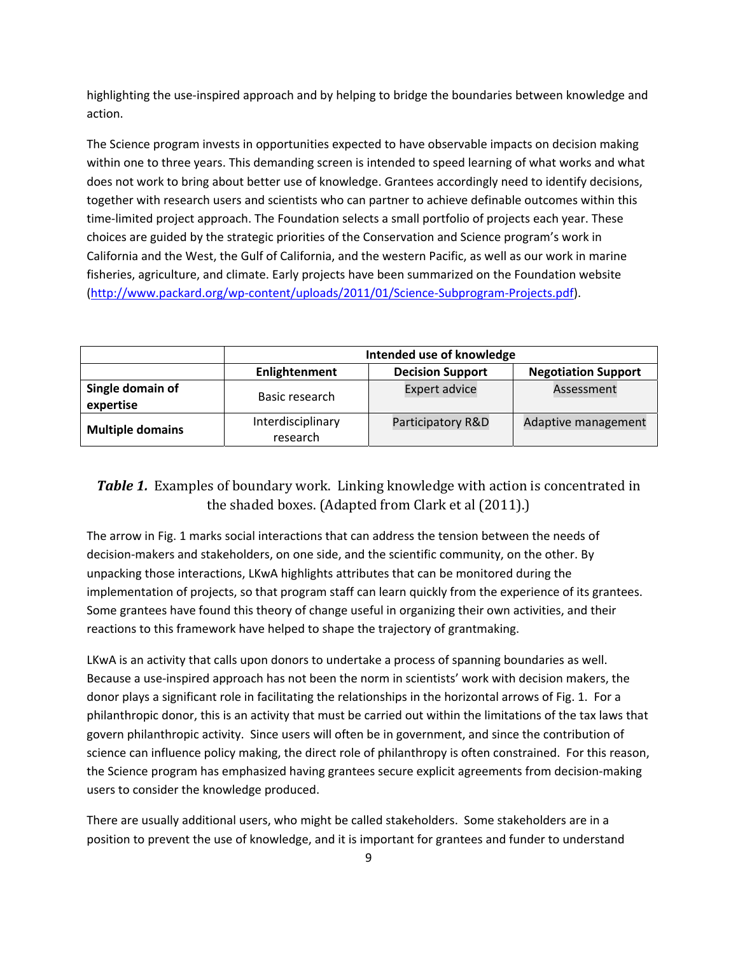highlighting the use-inspired approach and by helping to bridge the boundaries between knowledge and action.

The Science program invests in opportunities expected to have observable impacts on decision making within one to three years. This demanding screen is intended to speed learning of what works and what does not work to bring about better use of knowledge. Grantees accordingly need to identify decisions, together with research users and scientists who can partner to achieve definable outcomes within this time-limited project approach. The Foundation selects a small portfolio of projects each year. These choices are guided by the strategic priorities of the Conservation and Science program's work in California and the West, the Gulf of California, and the western Pacific, as well as our work in marine fisheries, agriculture, and climate. Early projects have been summarized on the Foundation website (http://www.packard.org/wp‐content/uploads/2011/01/Science‐Subprogram‐Projects.pdf).

|                               | Intended use of knowledge                                              |                      |                     |  |
|-------------------------------|------------------------------------------------------------------------|----------------------|---------------------|--|
|                               | <b>Decision Support</b><br><b>Negotiation Support</b><br>Enlightenment |                      |                     |  |
| Single domain of<br>expertise | Basic research                                                         | <b>Expert advice</b> | Assessment          |  |
| <b>Multiple domains</b>       | Interdisciplinary<br>research                                          | Participatory R&D    | Adaptive management |  |

## **Table 1.** Examples of boundary work. Linking knowledge with action is concentrated in the shaded boxes. (Adapted from Clark et al  $(2011)$ .)

The arrow in Fig. 1 marks social interactions that can address the tension between the needs of decision‐makers and stakeholders, on one side, and the scientific community, on the other. By unpacking those interactions, LKwA highlights attributes that can be monitored during the implementation of projects, so that program staff can learn quickly from the experience of its grantees. Some grantees have found this theory of change useful in organizing their own activities, and their reactions to this framework have helped to shape the trajectory of grantmaking.

LKwA is an activity that calls upon donors to undertake a process of spanning boundaries as well. Because a use‐inspired approach has not been the norm in scientists' work with decision makers, the donor plays a significant role in facilitating the relationships in the horizontal arrows of Fig. 1. For a philanthropic donor, this is an activity that must be carried out within the limitations of the tax laws that govern philanthropic activity. Since users will often be in government, and since the contribution of science can influence policy making, the direct role of philanthropy is often constrained. For this reason, the Science program has emphasized having grantees secure explicit agreements from decision‐making users to consider the knowledge produced.

There are usually additional users, who might be called stakeholders. Some stakeholders are in a position to prevent the use of knowledge, and it is important for grantees and funder to understand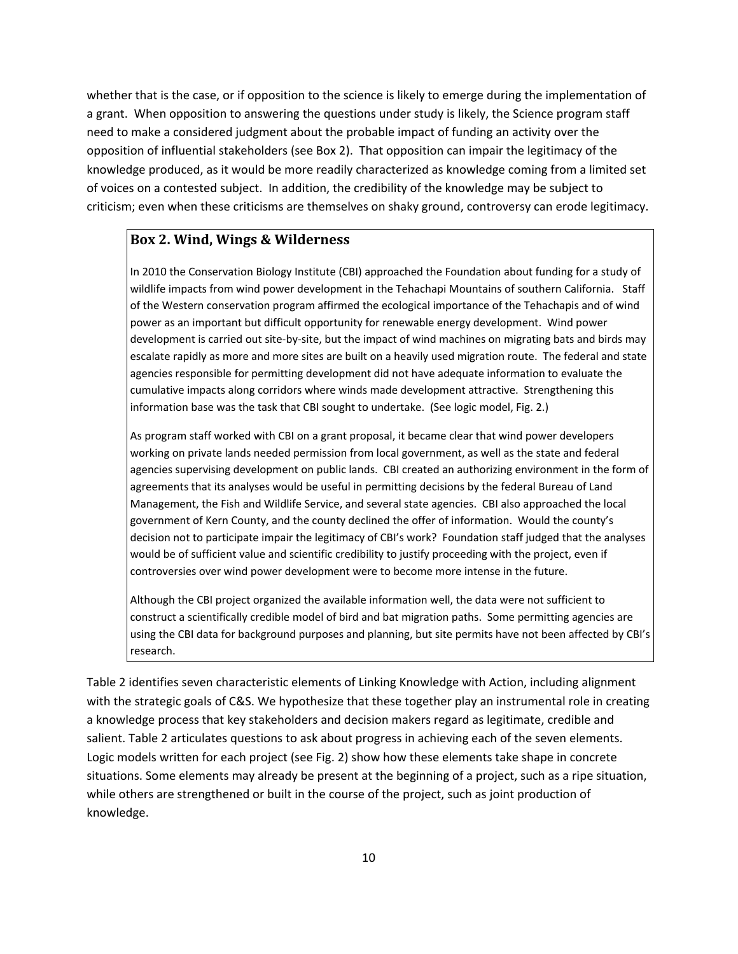whether that is the case, or if opposition to the science is likely to emerge during the implementation of a grant. When opposition to answering the questions under study is likely, the Science program staff need to make a considered judgment about the probable impact of funding an activity over the opposition of influential stakeholders (see Box 2). That opposition can impair the legitimacy of the knowledge produced, as it would be more readily characterized as knowledge coming from a limited set of voices on a contested subject. In addition, the credibility of the knowledge may be subject to criticism; even when these criticisms are themselves on shaky ground, controversy can erode legitimacy.

### **Box 2. Wind, Wings & Wilderness**

In 2010 the Conservation Biology Institute (CBI) approached the Foundation about funding for a study of wildlife impacts from wind power development in the Tehachapi Mountains of southern California. Staff of the Western conservation program affirmed the ecological importance of the Tehachapis and of wind power as an important but difficult opportunity for renewable energy development. Wind power development is carried out site‐by‐site, but the impact of wind machines on migrating bats and birds may escalate rapidly as more and more sites are built on a heavily used migration route. The federal and state agencies responsible for permitting development did not have adequate information to evaluate the cumulative impacts along corridors where winds made development attractive. Strengthening this information base was the task that CBI sought to undertake. (See logic model, Fig. 2.)

As program staff worked with CBI on a grant proposal, it became clear that wind power developers working on private lands needed permission from local government, as well as the state and federal agencies supervising development on public lands. CBI created an authorizing environment in the form of agreements that its analyses would be useful in permitting decisions by the federal Bureau of Land Management, the Fish and Wildlife Service, and several state agencies. CBI also approached the local government of Kern County, and the county declined the offer of information. Would the county's decision not to participate impair the legitimacy of CBI's work? Foundation staff judged that the analyses would be of sufficient value and scientific credibility to justify proceeding with the project, even if controversies over wind power development were to become more intense in the future.

Although the CBI project organized the available information well, the data were not sufficient to construct a scientifically credible model of bird and bat migration paths. Some permitting agencies are using the CBI data for background purposes and planning, but site permits have not been affected by CBI's research.

Table 2 identifies seven characteristic elements of Linking Knowledge with Action, including alignment with the strategic goals of C&S. We hypothesize that these together play an instrumental role in creating a knowledge process that key stakeholders and decision makers regard as legitimate, credible and salient. Table 2 articulates questions to ask about progress in achieving each of the seven elements. Logic models written for each project (see Fig. 2) show how these elements take shape in concrete situations. Some elements may already be present at the beginning of a project, such as a ripe situation, while others are strengthened or built in the course of the project, such as joint production of knowledge.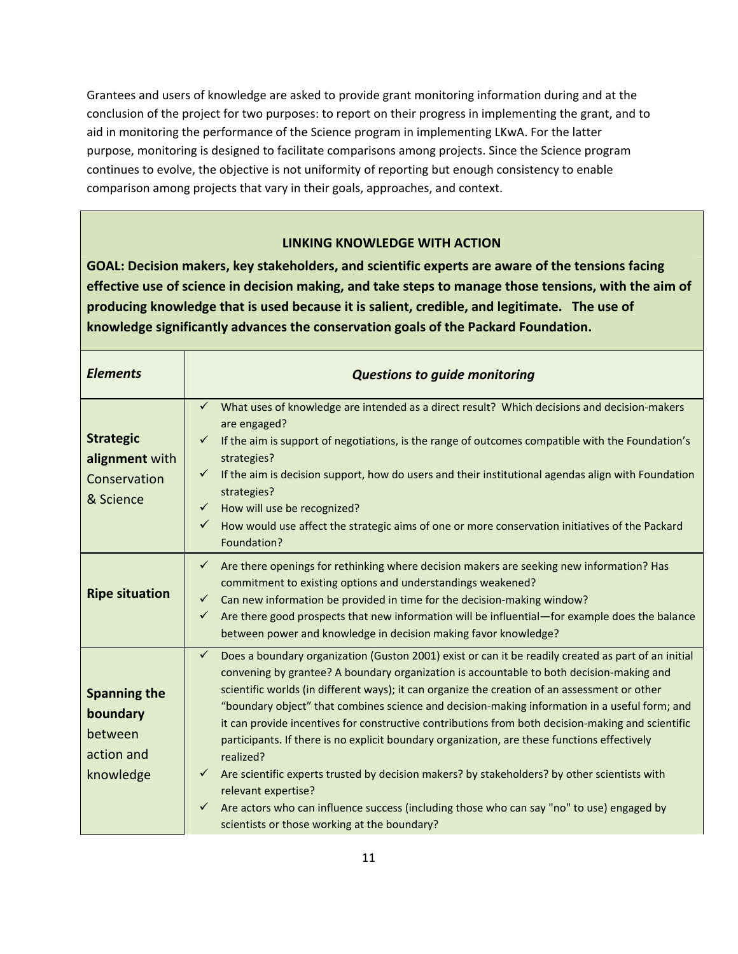Grantees and users of knowledge are asked to provide grant monitoring information during and at the conclusion of the project for two purposes: to report on their progress in implementing the grant, and to aid in monitoring the performance of the Science program in implementing LKwA. For the latter purpose, monitoring is designed to facilitate comparisons among projects. Since the Science program continues to evolve, the objective is not uniformity of reporting but enough consistency to enable comparison among projects that vary in their goals, approaches, and context.

#### **LINKING KNOWLEDGE WITH ACTION**

**GOAL: Decision makers, key stakeholders, and scientific experts are aware of the tensions facing** effective use of science in decision making, and take steps to manage those tensions, with the aim of **producing knowledge that is used because it is salient, credible, and legitimate. The use of knowledge significantly advances the conservation goals of the Packard Foundation.**

| <b>Elements</b>                                                       | <b>Questions to guide monitoring</b>                                                                                                                                                                                                                                                                                                                                                                                                                                                                                                                                                                                                                                                                                                                                                                                                                                                                                                    |
|-----------------------------------------------------------------------|-----------------------------------------------------------------------------------------------------------------------------------------------------------------------------------------------------------------------------------------------------------------------------------------------------------------------------------------------------------------------------------------------------------------------------------------------------------------------------------------------------------------------------------------------------------------------------------------------------------------------------------------------------------------------------------------------------------------------------------------------------------------------------------------------------------------------------------------------------------------------------------------------------------------------------------------|
| <b>Strategic</b><br>alignment with<br>Conservation<br>& Science       | What uses of knowledge are intended as a direct result? Which decisions and decision-makers<br>✓<br>are engaged?<br>If the aim is support of negotiations, is the range of outcomes compatible with the Foundation's<br>$\checkmark$<br>strategies?<br>If the aim is decision support, how do users and their institutional agendas align with Foundation<br>$\checkmark$<br>strategies?<br>How will use be recognized?<br>$\checkmark$<br>$\checkmark$<br>How would use affect the strategic aims of one or more conservation initiatives of the Packard<br>Foundation?                                                                                                                                                                                                                                                                                                                                                                |
| <b>Ripe situation</b>                                                 | Are there openings for rethinking where decision makers are seeking new information? Has<br>$\checkmark$<br>commitment to existing options and understandings weakened?<br>$\checkmark$<br>Can new information be provided in time for the decision-making window?<br>Are there good prospects that new information will be influential-for example does the balance<br>✓<br>between power and knowledge in decision making favor knowledge?                                                                                                                                                                                                                                                                                                                                                                                                                                                                                            |
| <b>Spanning the</b><br>boundary<br>between<br>action and<br>knowledge | Does a boundary organization (Guston 2001) exist or can it be readily created as part of an initial<br>$\checkmark$<br>convening by grantee? A boundary organization is accountable to both decision-making and<br>scientific worlds (in different ways); it can organize the creation of an assessment or other<br>"boundary object" that combines science and decision-making information in a useful form; and<br>it can provide incentives for constructive contributions from both decision-making and scientific<br>participants. If there is no explicit boundary organization, are these functions effectively<br>realized?<br>Are scientific experts trusted by decision makers? by stakeholders? by other scientists with<br>$\checkmark$<br>relevant expertise?<br>Are actors who can influence success (including those who can say "no" to use) engaged by<br>$\checkmark$<br>scientists or those working at the boundary? |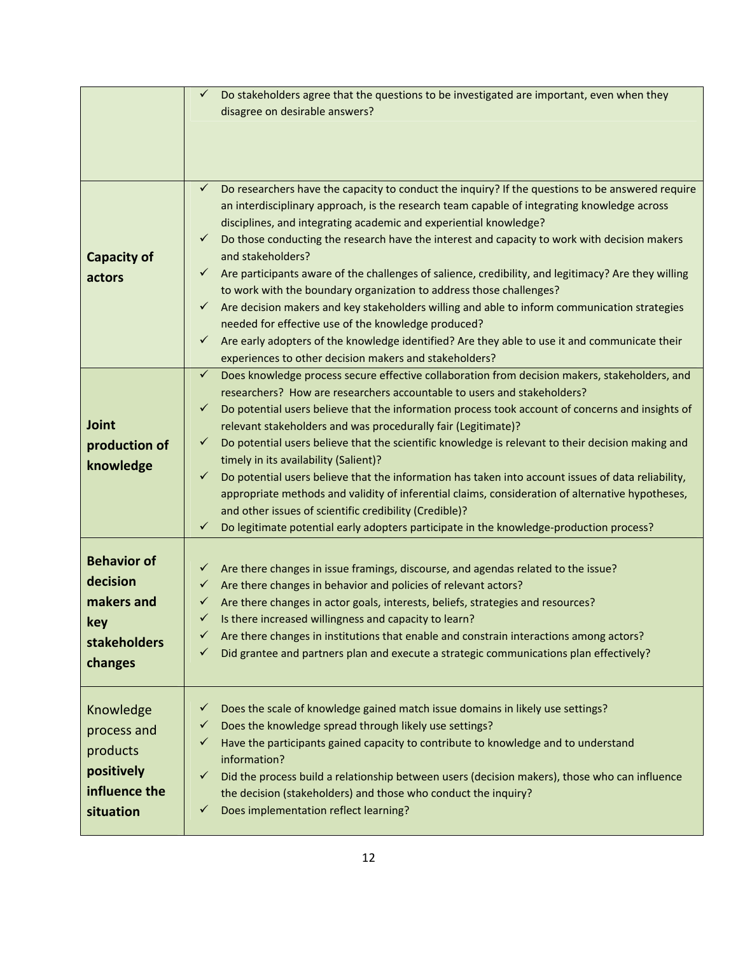|                                                                                  | ✓<br>Do stakeholders agree that the questions to be investigated are important, even when they<br>disagree on desirable answers?                                                                                                                                                                                                                                                                                                                                                                                                                                                                                                                                                                                                                                                                                                                                                                                                                                          |
|----------------------------------------------------------------------------------|---------------------------------------------------------------------------------------------------------------------------------------------------------------------------------------------------------------------------------------------------------------------------------------------------------------------------------------------------------------------------------------------------------------------------------------------------------------------------------------------------------------------------------------------------------------------------------------------------------------------------------------------------------------------------------------------------------------------------------------------------------------------------------------------------------------------------------------------------------------------------------------------------------------------------------------------------------------------------|
| <b>Capacity of</b><br>actors                                                     | Do researchers have the capacity to conduct the inquiry? If the questions to be answered require<br>$\checkmark$<br>an interdisciplinary approach, is the research team capable of integrating knowledge across<br>disciplines, and integrating academic and experiential knowledge?<br>Do those conducting the research have the interest and capacity to work with decision makers<br>$\checkmark$<br>and stakeholders?<br>Are participants aware of the challenges of salience, credibility, and legitimacy? Are they willing<br>$\checkmark$<br>to work with the boundary organization to address those challenges?<br>Are decision makers and key stakeholders willing and able to inform communication strategies<br>$\checkmark$<br>needed for effective use of the knowledge produced?<br>Are early adopters of the knowledge identified? Are they able to use it and communicate their<br>$\checkmark$<br>experiences to other decision makers and stakeholders? |
| Joint<br>production of<br>knowledge                                              | Does knowledge process secure effective collaboration from decision makers, stakeholders, and<br>$\checkmark$<br>researchers? How are researchers accountable to users and stakeholders?<br>Do potential users believe that the information process took account of concerns and insights of<br>✓<br>relevant stakeholders and was procedurally fair (Legitimate)?<br>Do potential users believe that the scientific knowledge is relevant to their decision making and<br>$\checkmark$<br>timely in its availability (Salient)?<br>Do potential users believe that the information has taken into account issues of data reliability,<br>✓<br>appropriate methods and validity of inferential claims, consideration of alternative hypotheses,<br>and other issues of scientific credibility (Credible)?<br>Do legitimate potential early adopters participate in the knowledge-production process?<br>$\checkmark$                                                      |
| <b>Behavior of</b><br>decision<br>makers and<br>key<br>stakeholders<br>changes   | Are there changes in issue framings, discourse, and agendas related to the issue?<br>✓<br>Are there changes in behavior and policies of relevant actors?<br>✓<br>Are there changes in actor goals, interests, beliefs, strategies and resources?<br>$\checkmark$<br>Is there increased willingness and capacity to learn?<br>$\checkmark$<br>Are there changes in institutions that enable and constrain interactions among actors?<br>✓<br>Did grantee and partners plan and execute a strategic communications plan effectively?<br>✓                                                                                                                                                                                                                                                                                                                                                                                                                                   |
| Knowledge<br>process and<br>products<br>positively<br>influence the<br>situation | Does the scale of knowledge gained match issue domains in likely use settings?<br>✓<br>Does the knowledge spread through likely use settings?<br>✓<br>Have the participants gained capacity to contribute to knowledge and to understand<br>✓<br>information?<br>Did the process build a relationship between users (decision makers), those who can influence<br>✓<br>the decision (stakeholders) and those who conduct the inquiry?<br>Does implementation reflect learning?<br>$\checkmark$                                                                                                                                                                                                                                                                                                                                                                                                                                                                            |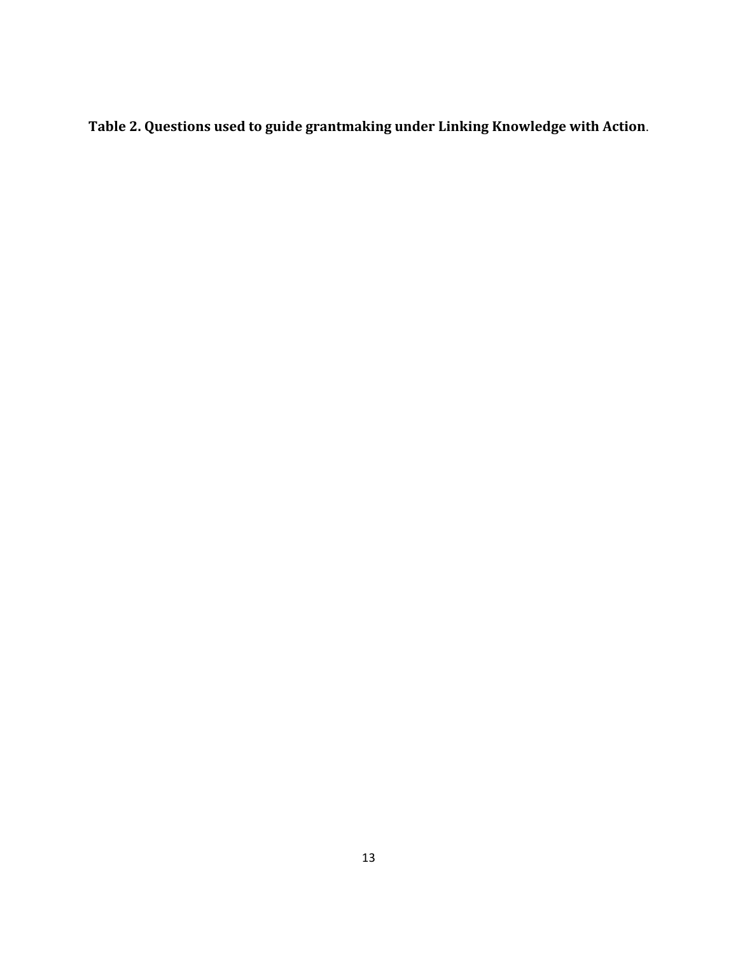**Table 2. Questions used to guide grantmaking under Linking Knowledge with Action**.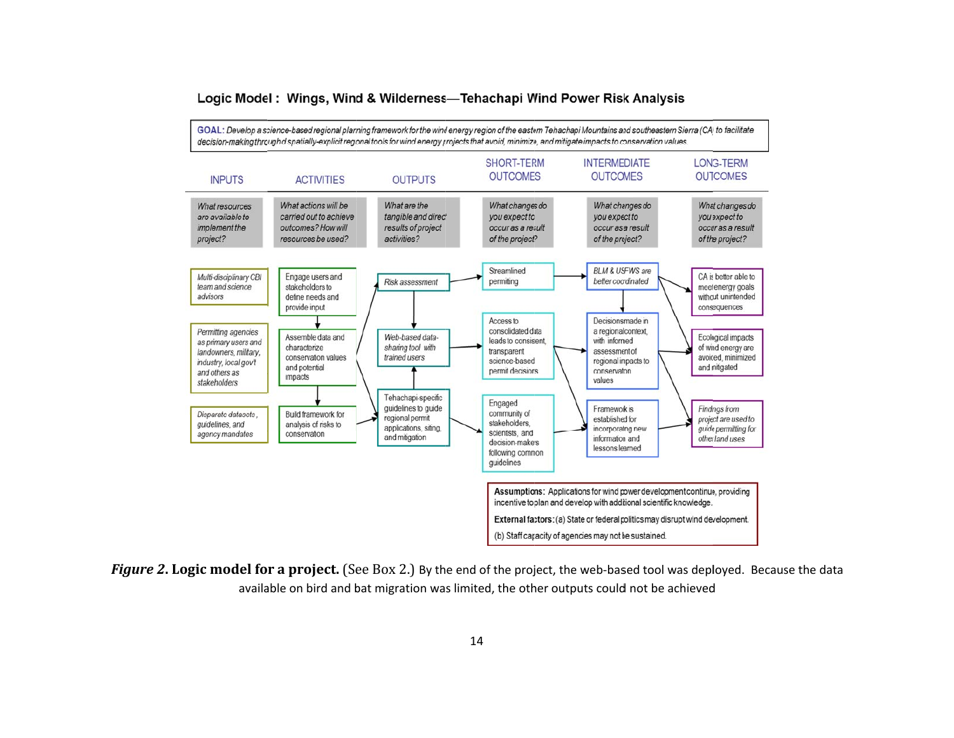

#### Logic Model: Wings, Wind & Wilderness—Tehachapi Wind Power Risk Analysis

**Figure 2. Logic model for a project.** (See Box 2.) By the end of the project, the web-based tool was deployed. Because the data<br>available on bird and bat migration was limited. the other outputs could not be achieved available on bird and bat migration was limited, the other outputs could not be achieved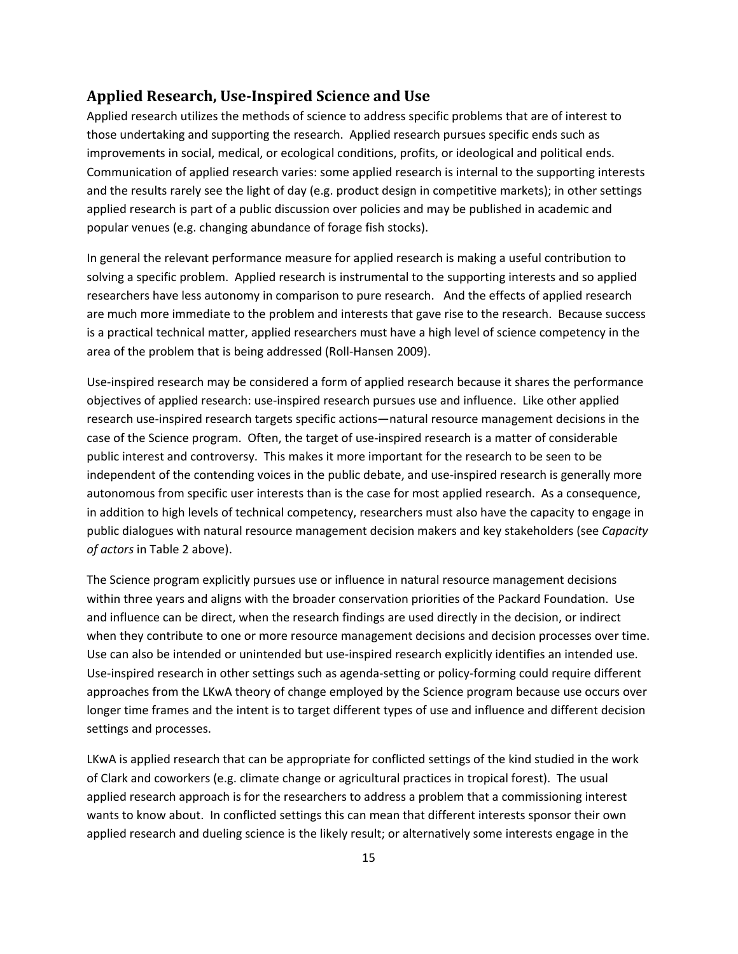#### **Applied Research, Use‐Inspired Science and Use**

Applied research utilizes the methods of science to address specific problems that are of interest to those undertaking and supporting the research. Applied research pursues specific ends such as improvements in social, medical, or ecological conditions, profits, or ideological and political ends. Communication of applied research varies: some applied research is internal to the supporting interests and the results rarely see the light of day (e.g. product design in competitive markets); in other settings applied research is part of a public discussion over policies and may be published in academic and popular venues (e.g. changing abundance of forage fish stocks).

In general the relevant performance measure for applied research is making a useful contribution to solving a specific problem. Applied research is instrumental to the supporting interests and so applied researchers have less autonomy in comparison to pure research. And the effects of applied research are much more immediate to the problem and interests that gave rise to the research. Because success is a practical technical matter, applied researchers must have a high level of science competency in the area of the problem that is being addressed (Roll‐Hansen 2009).

Use‐inspired research may be considered a form of applied research because it shares the performance objectives of applied research: use‐inspired research pursues use and influence. Like other applied research use‐inspired research targets specific actions—natural resource management decisions in the case of the Science program. Often, the target of use‐inspired research is a matter of considerable public interest and controversy. This makes it more important for the research to be seen to be independent of the contending voices in the public debate, and use-inspired research is generally more autonomous from specific user interests than is the case for most applied research. As a consequence, in addition to high levels of technical competency, researchers must also have the capacity to engage in public dialogues with natural resource management decision makers and key stakeholders (see *Capacity of actors* in Table 2 above).

The Science program explicitly pursues use or influence in natural resource management decisions within three years and aligns with the broader conservation priorities of the Packard Foundation. Use and influence can be direct, when the research findings are used directly in the decision, or indirect when they contribute to one or more resource management decisions and decision processes over time. Use can also be intended or unintended but use‐inspired research explicitly identifies an intended use. Use‐inspired research in other settings such as agenda‐setting or policy‐forming could require different approaches from the LKwA theory of change employed by the Science program because use occurs over longer time frames and the intent is to target different types of use and influence and different decision settings and processes.

LKwA is applied research that can be appropriate for conflicted settings of the kind studied in the work of Clark and coworkers (e.g. climate change or agricultural practices in tropical forest). The usual applied research approach is for the researchers to address a problem that a commissioning interest wants to know about. In conflicted settings this can mean that different interests sponsor their own applied research and dueling science is the likely result; or alternatively some interests engage in the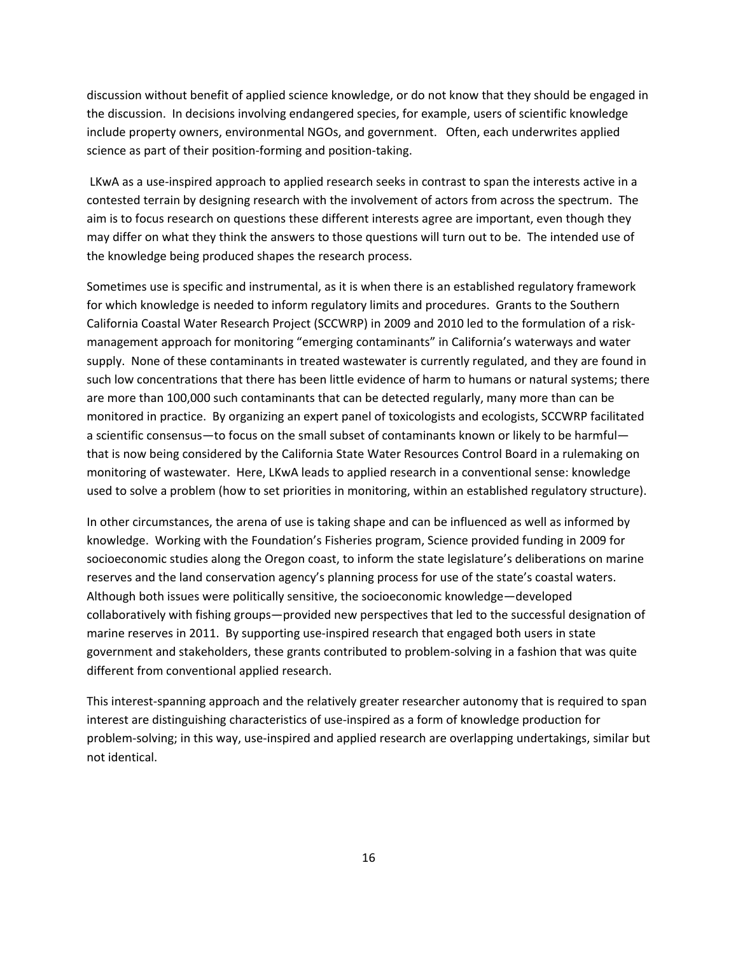discussion without benefit of applied science knowledge, or do not know that they should be engaged in the discussion. In decisions involving endangered species, for example, users of scientific knowledge include property owners, environmental NGOs, and government. Often, each underwrites applied science as part of their position‐forming and position‐taking.

LKwA as a use-inspired approach to applied research seeks in contrast to span the interests active in a contested terrain by designing research with the involvement of actors from across the spectrum. The aim is to focus research on questions these different interests agree are important, even though they may differ on what they think the answers to those questions will turn out to be. The intended use of the knowledge being produced shapes the research process.

Sometimes use is specific and instrumental, as it is when there is an established regulatory framework for which knowledge is needed to inform regulatory limits and procedures. Grants to the Southern California Coastal Water Research Project (SCCWRP) in 2009 and 2010 led to the formulation of a risk‐ management approach for monitoring "emerging contaminants" in California's waterways and water supply. None of these contaminants in treated wastewater is currently regulated, and they are found in such low concentrations that there has been little evidence of harm to humans or natural systems; there are more than 100,000 such contaminants that can be detected regularly, many more than can be monitored in practice. By organizing an expert panel of toxicologists and ecologists, SCCWRP facilitated a scientific consensus—to focus on the small subset of contaminants known or likely to be harmful that is now being considered by the California State Water Resources Control Board in a rulemaking on monitoring of wastewater. Here, LKwA leads to applied research in a conventional sense: knowledge used to solve a problem (how to set priorities in monitoring, within an established regulatory structure).

In other circumstances, the arena of use is taking shape and can be influenced as well as informed by knowledge. Working with the Foundation's Fisheries program, Science provided funding in 2009 for socioeconomic studies along the Oregon coast, to inform the state legislature's deliberations on marine reserves and the land conservation agency's planning process for use of the state's coastal waters. Although both issues were politically sensitive, the socioeconomic knowledge—developed collaboratively with fishing groups—provided new perspectives that led to the successful designation of marine reserves in 2011. By supporting use-inspired research that engaged both users in state government and stakeholders, these grants contributed to problem‐solving in a fashion that was quite different from conventional applied research.

This interest‐spanning approach and the relatively greater researcher autonomy that is required to span interest are distinguishing characteristics of use‐inspired as a form of knowledge production for problem‐solving; in this way, use‐inspired and applied research are overlapping undertakings, similar but not identical.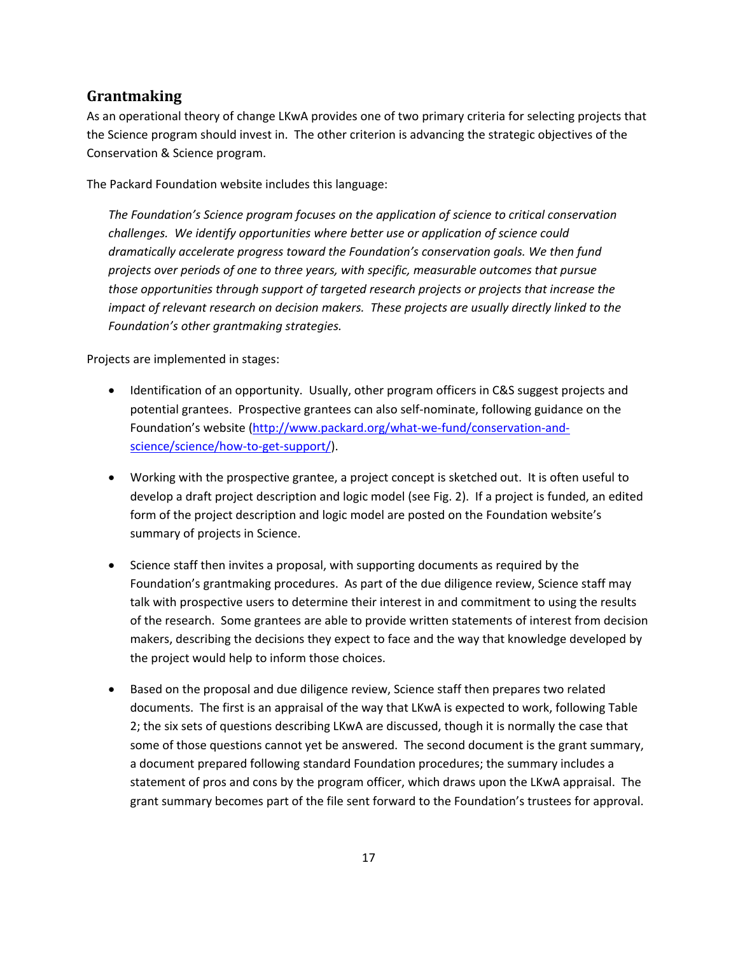## **Grantmaking**

As an operational theory of change LKwA provides one of two primary criteria for selecting projects that the Science program should invest in. The other criterion is advancing the strategic objectives of the Conservation & Science program.

The Packard Foundation website includes this language:

*The Foundation's Science program focuses on the application of science to critical conservation challenges. We identify opportunities where better use or application of science could dramatically accelerate progress toward the Foundation's conservation goals. We then fund projects over periods of one to three years, with specific, measurable outcomes that pursue those opportunities through support of targeted research projects or projects that increase the impact of relevant research on decision makers. These projects are usually directly linked to the Foundation's other grantmaking strategies.* 

Projects are implemented in stages:

- Identification of an opportunity. Usually, other program officers in C&S suggest projects and potential grantees. Prospective grantees can also self‐nominate, following guidance on the Foundation's website (http://www.packard.org/what‐we‐fund/conservation‐and‐ science/science/how-to-get-support/).
- Working with the prospective grantee, a project concept is sketched out. It is often useful to develop a draft project description and logic model (see Fig. 2). If a project is funded, an edited form of the project description and logic model are posted on the Foundation website's summary of projects in Science.
- Science staff then invites a proposal, with supporting documents as required by the Foundation's grantmaking procedures. As part of the due diligence review, Science staff may talk with prospective users to determine their interest in and commitment to using the results of the research. Some grantees are able to provide written statements of interest from decision makers, describing the decisions they expect to face and the way that knowledge developed by the project would help to inform those choices.
- Based on the proposal and due diligence review, Science staff then prepares two related documents. The first is an appraisal of the way that LKwA is expected to work, following Table 2; the six sets of questions describing LKwA are discussed, though it is normally the case that some of those questions cannot yet be answered. The second document is the grant summary, a document prepared following standard Foundation procedures; the summary includes a statement of pros and cons by the program officer, which draws upon the LKwA appraisal. The grant summary becomes part of the file sent forward to the Foundation's trustees for approval.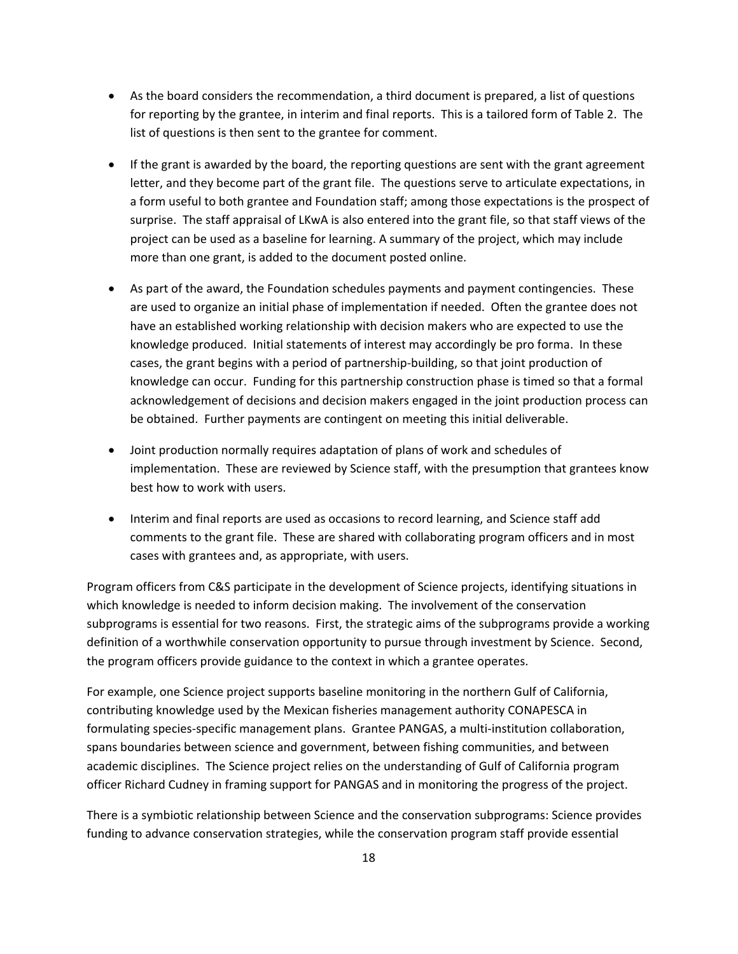- As the board considers the recommendation, a third document is prepared, a list of questions for reporting by the grantee, in interim and final reports. This is a tailored form of Table 2. The list of questions is then sent to the grantee for comment.
- If the grant is awarded by the board, the reporting questions are sent with the grant agreement letter, and they become part of the grant file. The questions serve to articulate expectations, in a form useful to both grantee and Foundation staff; among those expectations is the prospect of surprise. The staff appraisal of LKwA is also entered into the grant file, so that staff views of the project can be used as a baseline for learning. A summary of the project, which may include more than one grant, is added to the document posted online.
- As part of the award, the Foundation schedules payments and payment contingencies. These are used to organize an initial phase of implementation if needed. Often the grantee does not have an established working relationship with decision makers who are expected to use the knowledge produced. Initial statements of interest may accordingly be pro forma. In these cases, the grant begins with a period of partnership‐building, so that joint production of knowledge can occur. Funding for this partnership construction phase is timed so that a formal acknowledgement of decisions and decision makers engaged in the joint production process can be obtained. Further payments are contingent on meeting this initial deliverable.
- Joint production normally requires adaptation of plans of work and schedules of implementation. These are reviewed by Science staff, with the presumption that grantees know best how to work with users.
- Interim and final reports are used as occasions to record learning, and Science staff add comments to the grant file. These are shared with collaborating program officers and in most cases with grantees and, as appropriate, with users.

Program officers from C&S participate in the development of Science projects, identifying situations in which knowledge is needed to inform decision making. The involvement of the conservation subprograms is essential for two reasons. First, the strategic aims of the subprograms provide a working definition of a worthwhile conservation opportunity to pursue through investment by Science. Second, the program officers provide guidance to the context in which a grantee operates.

For example, one Science project supports baseline monitoring in the northern Gulf of California, contributing knowledge used by the Mexican fisheries management authority CONAPESCA in formulating species‐specific management plans. Grantee PANGAS, a multi‐institution collaboration, spans boundaries between science and government, between fishing communities, and between academic disciplines. The Science project relies on the understanding of Gulf of California program officer Richard Cudney in framing support for PANGAS and in monitoring the progress of the project.

There is a symbiotic relationship between Science and the conservation subprograms: Science provides funding to advance conservation strategies, while the conservation program staff provide essential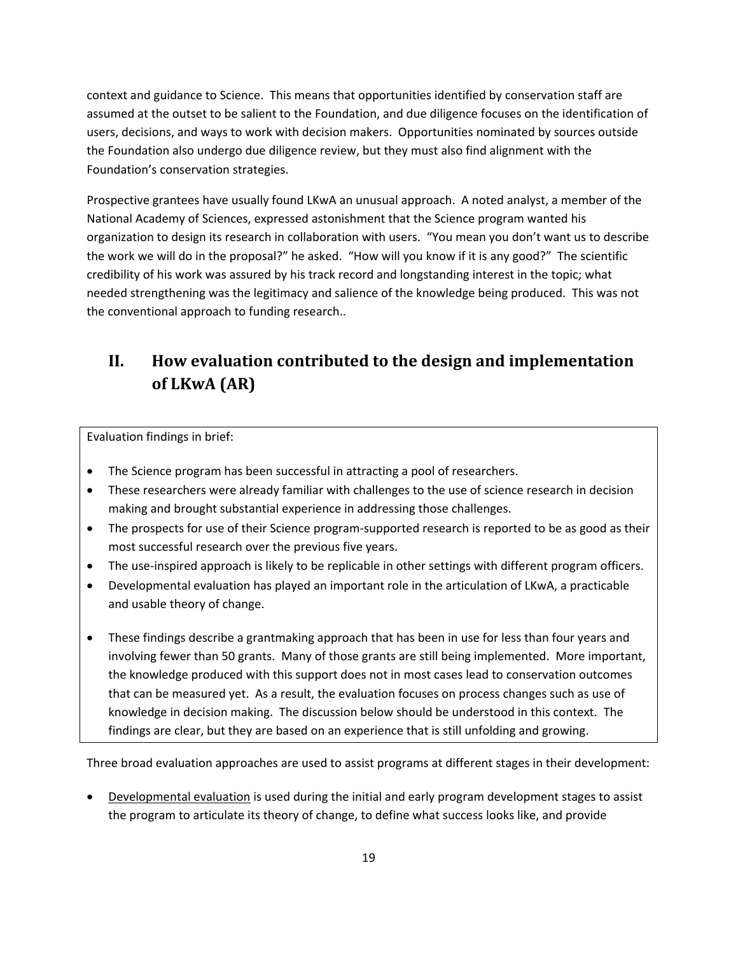context and guidance to Science. This means that opportunities identified by conservation staff are assumed at the outset to be salient to the Foundation, and due diligence focuses on the identification of users, decisions, and ways to work with decision makers. Opportunities nominated by sources outside the Foundation also undergo due diligence review, but they must also find alignment with the Foundation's conservation strategies.

Prospective grantees have usually found LKwA an unusual approach. A noted analyst, a member of the National Academy of Sciences, expressed astonishment that the Science program wanted his organization to design its research in collaboration with users. "You mean you don't want us to describe the work we will do in the proposal?" he asked. "How will you know if it is any good?" The scientific credibility of his work was assured by his track record and longstanding interest in the topic; what needed strengthening was the legitimacy and salience of the knowledge being produced. This was not the conventional approach to funding research..

# **II. How evaluation contributed to the design and implementation of LKwA (AR)**

Evaluation findings in brief:

- The Science program has been successful in attracting a pool of researchers.
- These researchers were already familiar with challenges to the use of science research in decision making and brought substantial experience in addressing those challenges.
- The prospects for use of their Science program-supported research is reported to be as good as their most successful research over the previous five years.
- The use‐inspired approach is likely to be replicable in other settings with different program officers.
- Developmental evaluation has played an important role in the articulation of LKwA, a practicable and usable theory of change.
- These findings describe a grantmaking approach that has been in use for less than four years and involving fewer than 50 grants. Many of those grants are still being implemented. More important, the knowledge produced with this support does not in most cases lead to conservation outcomes that can be measured yet. As a result, the evaluation focuses on process changes such as use of knowledge in decision making. The discussion below should be understood in this context. The findings are clear, but they are based on an experience that is still unfolding and growing.

Three broad evaluation approaches are used to assist programs at different stages in their development:

 Developmental evaluation is used during the initial and early program development stages to assist the program to articulate its theory of change, to define what success looks like, and provide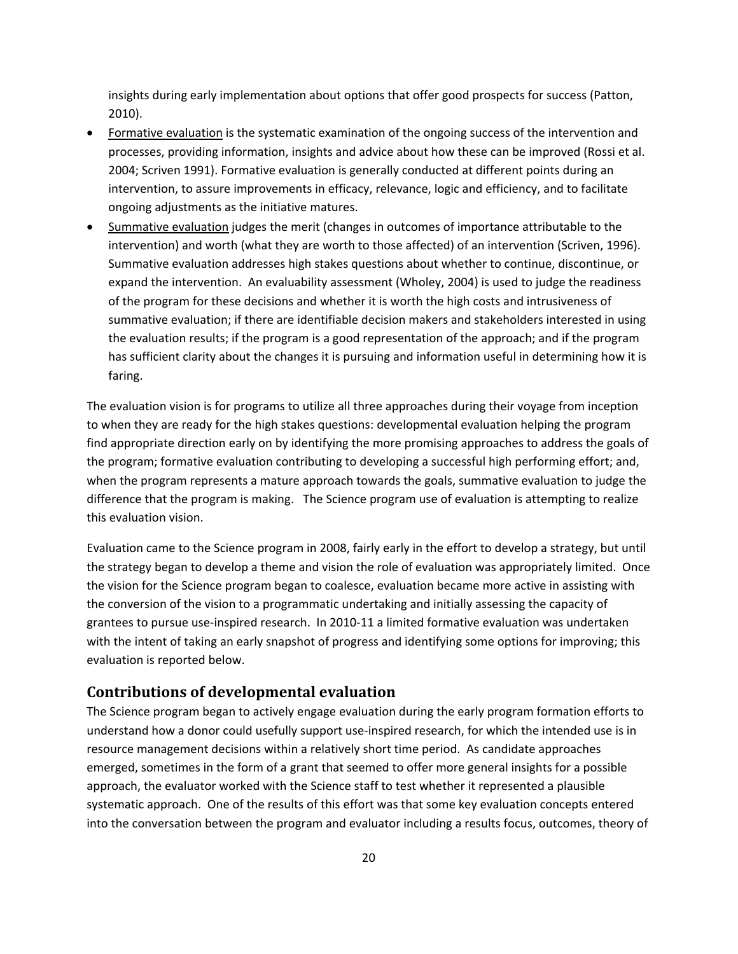insights during early implementation about options that offer good prospects for success (Patton, 2010).

- Formative evaluation is the systematic examination of the ongoing success of the intervention and processes, providing information, insights and advice about how these can be improved (Rossi et al. 2004; Scriven 1991). Formative evaluation is generally conducted at different points during an intervention, to assure improvements in efficacy, relevance, logic and efficiency, and to facilitate ongoing adjustments as the initiative matures.
- Summative evaluation judges the merit (changes in outcomes of importance attributable to the intervention) and worth (what they are worth to those affected) of an intervention (Scriven, 1996). Summative evaluation addresses high stakes questions about whether to continue, discontinue, or expand the intervention. An evaluability assessment (Wholey, 2004) is used to judge the readiness of the program for these decisions and whether it is worth the high costs and intrusiveness of summative evaluation; if there are identifiable decision makers and stakeholders interested in using the evaluation results; if the program is a good representation of the approach; and if the program has sufficient clarity about the changes it is pursuing and information useful in determining how it is faring.

The evaluation vision is for programs to utilize all three approaches during their voyage from inception to when they are ready for the high stakes questions: developmental evaluation helping the program find appropriate direction early on by identifying the more promising approaches to address the goals of the program; formative evaluation contributing to developing a successful high performing effort; and, when the program represents a mature approach towards the goals, summative evaluation to judge the difference that the program is making. The Science program use of evaluation is attempting to realize this evaluation vision.

Evaluation came to the Science program in 2008, fairly early in the effort to develop a strategy, but until the strategy began to develop a theme and vision the role of evaluation was appropriately limited. Once the vision for the Science program began to coalesce, evaluation became more active in assisting with the conversion of the vision to a programmatic undertaking and initially assessing the capacity of grantees to pursue use‐inspired research. In 2010‐11 a limited formative evaluation was undertaken with the intent of taking an early snapshot of progress and identifying some options for improving; this evaluation is reported below.

#### **Contributions of developmental evaluation**

The Science program began to actively engage evaluation during the early program formation efforts to understand how a donor could usefully support use‐inspired research, for which the intended use is in resource management decisions within a relatively short time period. As candidate approaches emerged, sometimes in the form of a grant that seemed to offer more general insights for a possible approach, the evaluator worked with the Science staff to test whether it represented a plausible systematic approach. One of the results of this effort was that some key evaluation concepts entered into the conversation between the program and evaluator including a results focus, outcomes, theory of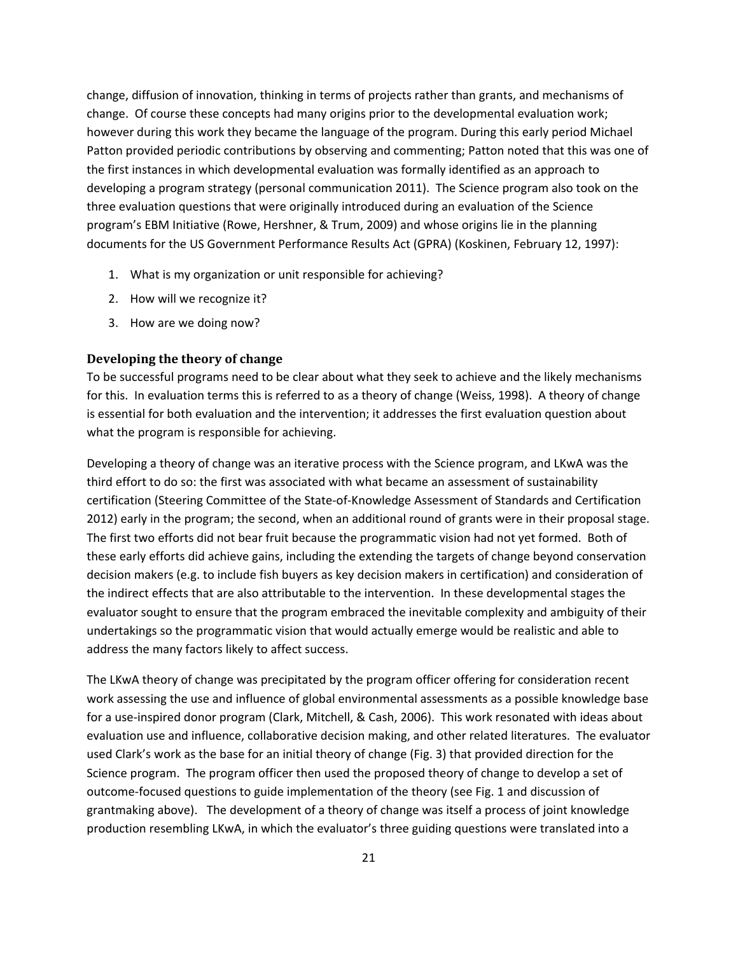change, diffusion of innovation, thinking in terms of projects rather than grants, and mechanisms of change. Of course these concepts had many origins prior to the developmental evaluation work; however during this work they became the language of the program. During this early period Michael Patton provided periodic contributions by observing and commenting; Patton noted that this was one of the first instances in which developmental evaluation was formally identified as an approach to developing a program strategy (personal communication 2011). The Science program also took on the three evaluation questions that were originally introduced during an evaluation of the Science program's EBM Initiative (Rowe, Hershner, & Trum, 2009) and whose origins lie in the planning documents for the US Government Performance Results Act (GPRA) (Koskinen, February 12, 1997):

- 1. What is my organization or unit responsible for achieving?
- 2. How will we recognize it?
- 3. How are we doing now?

#### **Developing the theory of change**

To be successful programs need to be clear about what they seek to achieve and the likely mechanisms for this. In evaluation terms this is referred to as a theory of change (Weiss, 1998). A theory of change is essential for both evaluation and the intervention; it addresses the first evaluation question about what the program is responsible for achieving.

Developing a theory of change was an iterative process with the Science program, and LKwA was the third effort to do so: the first was associated with what became an assessment of sustainability certification (Steering Committee of the State‐of‐Knowledge Assessment of Standards and Certification 2012) early in the program; the second, when an additional round of grants were in their proposal stage. The first two efforts did not bear fruit because the programmatic vision had not yet formed. Both of these early efforts did achieve gains, including the extending the targets of change beyond conservation decision makers (e.g. to include fish buyers as key decision makers in certification) and consideration of the indirect effects that are also attributable to the intervention. In these developmental stages the evaluator sought to ensure that the program embraced the inevitable complexity and ambiguity of their undertakings so the programmatic vision that would actually emerge would be realistic and able to address the many factors likely to affect success.

The LKwA theory of change was precipitated by the program officer offering for consideration recent work assessing the use and influence of global environmental assessments as a possible knowledge base for a use-inspired donor program (Clark, Mitchell, & Cash, 2006). This work resonated with ideas about evaluation use and influence, collaborative decision making, and other related literatures. The evaluator used Clark's work as the base for an initial theory of change (Fig. 3) that provided direction for the Science program. The program officer then used the proposed theory of change to develop a set of outcome‐focused questions to guide implementation of the theory (see Fig. 1 and discussion of grantmaking above). The development of a theory of change was itself a process of joint knowledge production resembling LKwA, in which the evaluator's three guiding questions were translated into a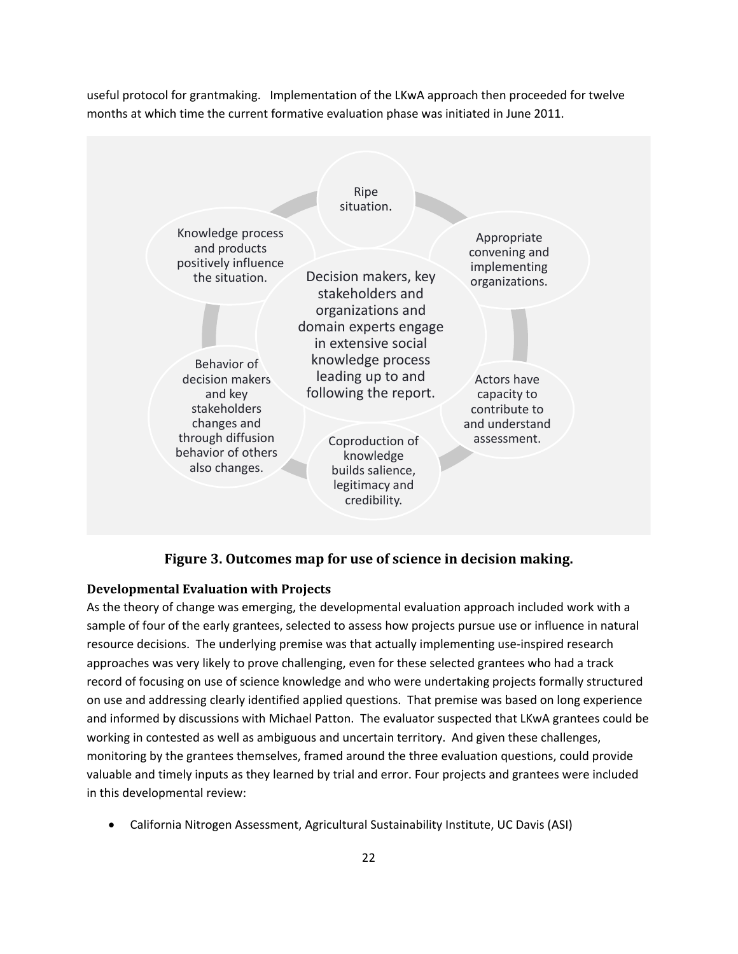useful protocol for grantmaking. Implementation of the LKwA approach then proceeded for twelve months at which time the current formative evaluation phase was initiated in June 2011.



## **Figure 3. Outcomes map for use of science in decision making.**

#### **Developmental Evaluation with Projects**

As the theory of change was emerging, the developmental evaluation approach included work with a sample of four of the early grantees, selected to assess how projects pursue use or influence in natural resource decisions. The underlying premise was that actually implementing use-inspired research approaches was very likely to prove challenging, even for these selected grantees who had a track record of focusing on use of science knowledge and who were undertaking projects formally structured on use and addressing clearly identified applied questions. That premise was based on long experience and informed by discussions with Michael Patton. The evaluator suspected that LKwA grantees could be working in contested as well as ambiguous and uncertain territory. And given these challenges, monitoring by the grantees themselves, framed around the three evaluation questions, could provide valuable and timely inputs as they learned by trial and error. Four projects and grantees were included in this developmental review:

California Nitrogen Assessment, Agricultural Sustainability Institute, UC Davis (ASI)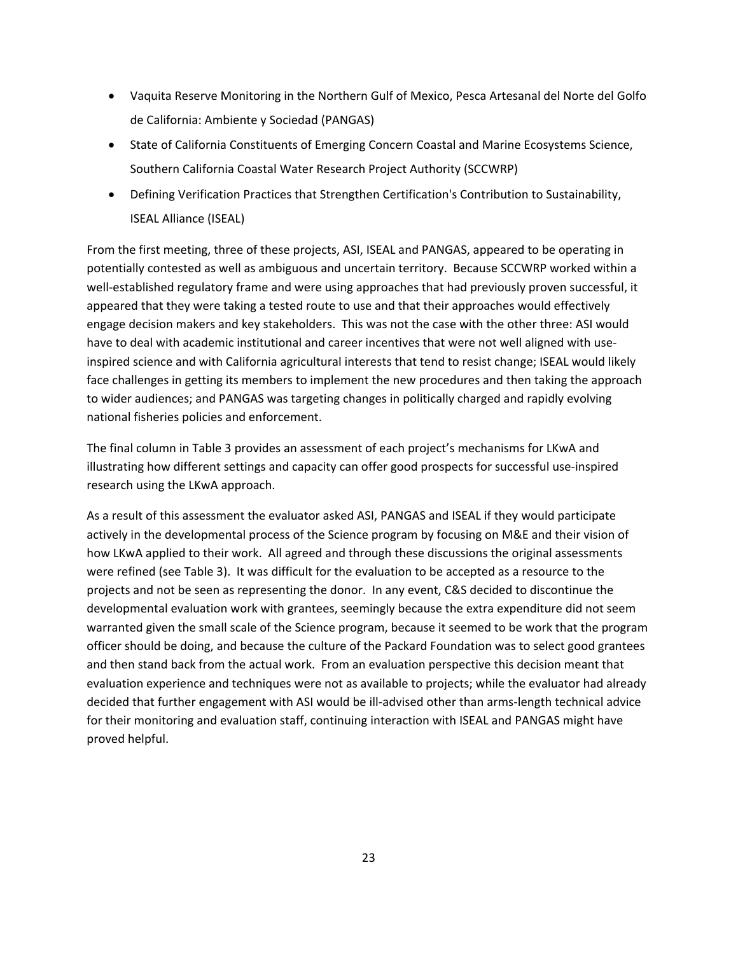- Vaquita Reserve Monitoring in the Northern Gulf of Mexico, Pesca Artesanal del Norte del Golfo de California: Ambiente y Sociedad (PANGAS)
- State of California Constituents of Emerging Concern Coastal and Marine Ecosystems Science, Southern California Coastal Water Research Project Authority (SCCWRP)
- Defining Verification Practices that Strengthen Certification's Contribution to Sustainability, ISEAL Alliance (ISEAL)

From the first meeting, three of these projects, ASI, ISEAL and PANGAS, appeared to be operating in potentially contested as well as ambiguous and uncertain territory. Because SCCWRP worked within a well-established regulatory frame and were using approaches that had previously proven successful, it appeared that they were taking a tested route to use and that their approaches would effectively engage decision makers and key stakeholders. This was not the case with the other three: ASI would have to deal with academic institutional and career incentives that were not well aligned with useinspired science and with California agricultural interests that tend to resist change; ISEAL would likely face challenges in getting its members to implement the new procedures and then taking the approach to wider audiences; and PANGAS was targeting changes in politically charged and rapidly evolving national fisheries policies and enforcement.

The final column in Table 3 provides an assessment of each project's mechanisms for LKwA and illustrating how different settings and capacity can offer good prospects for successful use-inspired research using the LKwA approach.

As a result of this assessment the evaluator asked ASI, PANGAS and ISEAL if they would participate actively in the developmental process of the Science program by focusing on M&E and their vision of how LKwA applied to their work. All agreed and through these discussions the original assessments were refined (see Table 3). It was difficult for the evaluation to be accepted as a resource to the projects and not be seen as representing the donor. In any event, C&S decided to discontinue the developmental evaluation work with grantees, seemingly because the extra expenditure did not seem warranted given the small scale of the Science program, because it seemed to be work that the program officer should be doing, and because the culture of the Packard Foundation was to select good grantees and then stand back from the actual work. From an evaluation perspective this decision meant that evaluation experience and techniques were not as available to projects; while the evaluator had already decided that further engagement with ASI would be ill‐advised other than arms‐length technical advice for their monitoring and evaluation staff, continuing interaction with ISEAL and PANGAS might have proved helpful.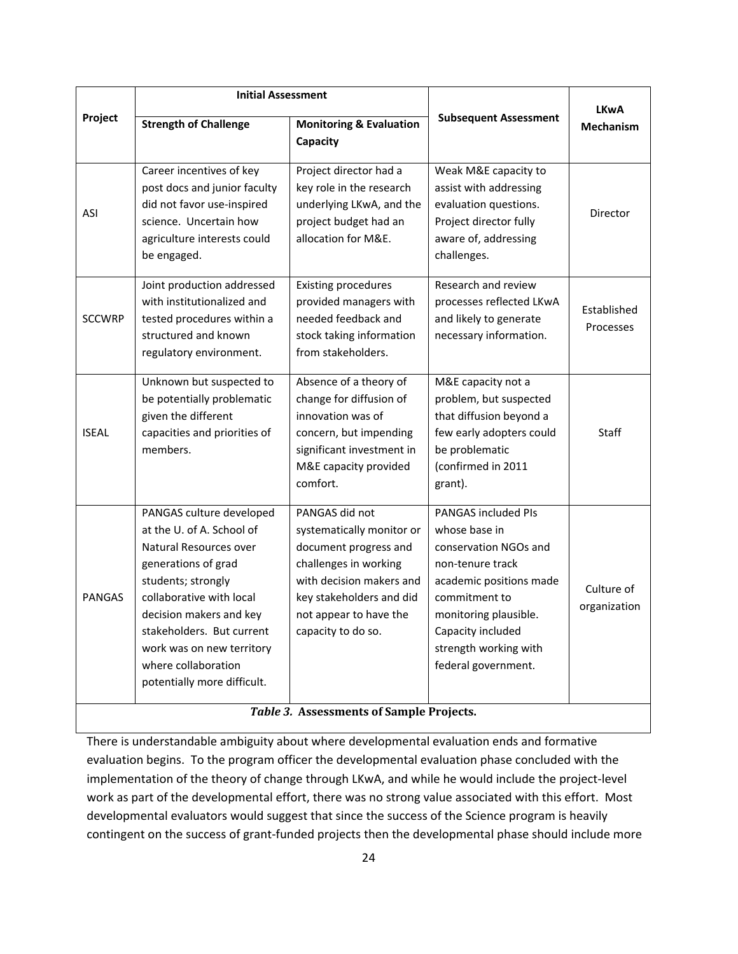|                                          | <b>Initial Assessment</b>                                                                                                                                                                                                                                                                           |                                                                                                                                                                                                       |                                                                                                                                                                                                                                    | <b>LKwA</b>                |  |
|------------------------------------------|-----------------------------------------------------------------------------------------------------------------------------------------------------------------------------------------------------------------------------------------------------------------------------------------------------|-------------------------------------------------------------------------------------------------------------------------------------------------------------------------------------------------------|------------------------------------------------------------------------------------------------------------------------------------------------------------------------------------------------------------------------------------|----------------------------|--|
| Project                                  | <b>Strength of Challenge</b>                                                                                                                                                                                                                                                                        | <b>Monitoring &amp; Evaluation</b><br>Capacity                                                                                                                                                        | <b>Subsequent Assessment</b>                                                                                                                                                                                                       | Mechanism                  |  |
| ASI                                      | Career incentives of key<br>post docs and junior faculty<br>did not favor use-inspired<br>science. Uncertain how<br>agriculture interests could<br>be engaged.                                                                                                                                      | Project director had a<br>key role in the research<br>underlying LKwA, and the<br>project budget had an<br>allocation for M&E.                                                                        | Weak M&E capacity to<br>assist with addressing<br>evaluation questions.<br>Project director fully<br>aware of, addressing<br>challenges.                                                                                           | Director                   |  |
| <b>SCCWRP</b>                            | Joint production addressed<br>with institutionalized and<br>tested procedures within a<br>structured and known<br>regulatory environment.                                                                                                                                                           | <b>Existing procedures</b><br>provided managers with<br>needed feedback and<br>stock taking information<br>from stakeholders.                                                                         | Research and review<br>processes reflected LKwA<br>and likely to generate<br>necessary information.                                                                                                                                | Established<br>Processes   |  |
| <b>ISEAL</b>                             | Unknown but suspected to<br>be potentially problematic<br>given the different<br>capacities and priorities of<br>members.                                                                                                                                                                           | Absence of a theory of<br>change for diffusion of<br>innovation was of<br>concern, but impending<br>significant investment in<br>M&E capacity provided<br>comfort.                                    | M&E capacity not a<br>problem, but suspected<br>that diffusion beyond a<br>few early adopters could<br>be problematic<br>(confirmed in 2011<br>grant).                                                                             | <b>Staff</b>               |  |
| <b>PANGAS</b>                            | PANGAS culture developed<br>at the U. of A. School of<br>Natural Resources over<br>generations of grad<br>students; strongly<br>collaborative with local<br>decision makers and key<br>stakeholders. But current<br>work was on new territory<br>where collaboration<br>potentially more difficult. | PANGAS did not<br>systematically monitor or<br>document progress and<br>challenges in working<br>with decision makers and<br>key stakeholders and did<br>not appear to have the<br>capacity to do so. | <b>PANGAS included PIs</b><br>whose base in<br>conservation NGOs and<br>non-tenure track<br>academic positions made<br>commitment to<br>monitoring plausible.<br>Capacity included<br>strength working with<br>federal government. | Culture of<br>organization |  |
| Table 3. Assessments of Sample Projects. |                                                                                                                                                                                                                                                                                                     |                                                                                                                                                                                                       |                                                                                                                                                                                                                                    |                            |  |

There is understandable ambiguity about where developmental evaluation ends and formative evaluation begins. To the program officer the developmental evaluation phase concluded with the implementation of the theory of change through LKwA, and while he would include the project‐level work as part of the developmental effort, there was no strong value associated with this effort. Most developmental evaluators would suggest that since the success of the Science program is heavily contingent on the success of grant‐funded projects then the developmental phase should include more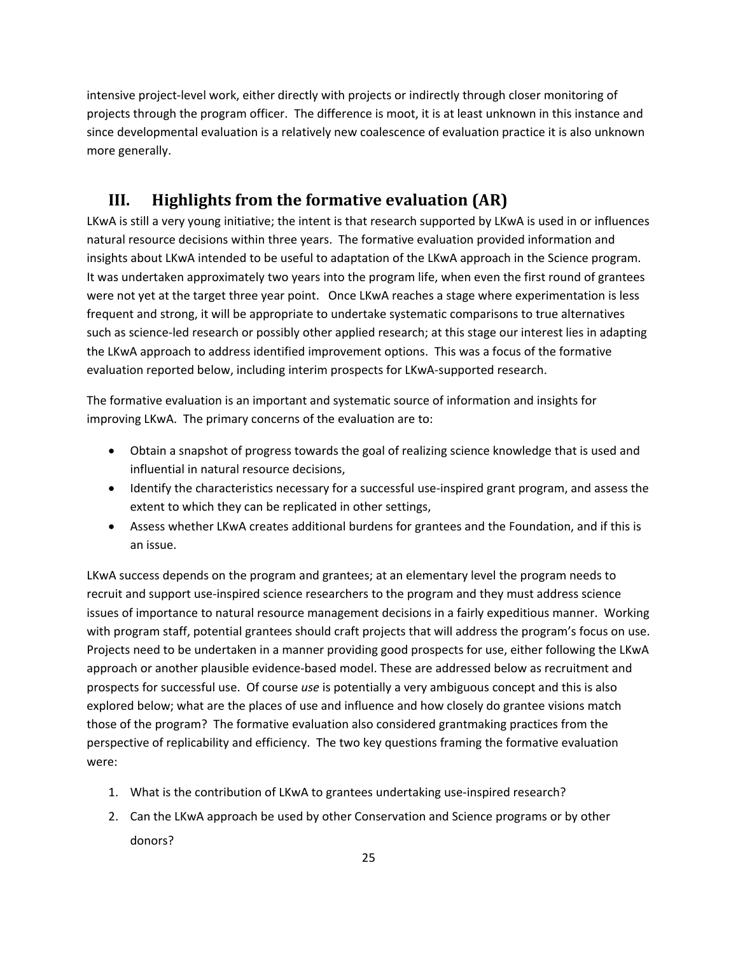intensive project‐level work, either directly with projects or indirectly through closer monitoring of projects through the program officer. The difference is moot, it is at least unknown in this instance and since developmental evaluation is a relatively new coalescence of evaluation practice it is also unknown more generally.

# **III. Highlights from the formative evaluation (AR)**

LKwA is still a very young initiative; the intent is that research supported by LKwA is used in or influences natural resource decisions within three years. The formative evaluation provided information and insights about LKwA intended to be useful to adaptation of the LKwA approach in the Science program. It was undertaken approximately two years into the program life, when even the first round of grantees were not yet at the target three year point. Once LKwA reaches a stage where experimentation is less frequent and strong, it will be appropriate to undertake systematic comparisons to true alternatives such as science‐led research or possibly other applied research; at this stage our interest lies in adapting the LKwA approach to address identified improvement options. This was a focus of the formative evaluation reported below, including interim prospects for LKwA‐supported research.

The formative evaluation is an important and systematic source of information and insights for improving LKwA. The primary concerns of the evaluation are to:

- Obtain a snapshot of progress towards the goal of realizing science knowledge that is used and influential in natural resource decisions,
- Identify the characteristics necessary for a successful use-inspired grant program, and assess the extent to which they can be replicated in other settings,
- Assess whether LKwA creates additional burdens for grantees and the Foundation, and if this is an issue.

LKwA success depends on the program and grantees; at an elementary level the program needs to recruit and support use‐inspired science researchers to the program and they must address science issues of importance to natural resource management decisions in a fairly expeditious manner. Working with program staff, potential grantees should craft projects that will address the program's focus on use. Projects need to be undertaken in a manner providing good prospects for use, either following the LKwA approach or another plausible evidence‐based model. These are addressed below as recruitment and prospects for successful use. Of course *use* is potentially a very ambiguous concept and this is also explored below; what are the places of use and influence and how closely do grantee visions match those of the program? The formative evaluation also considered grantmaking practices from the perspective of replicability and efficiency. The two key questions framing the formative evaluation were:

- 1. What is the contribution of LKwA to grantees undertaking use‐inspired research?
- 2. Can the LKwA approach be used by other Conservation and Science programs or by other donors?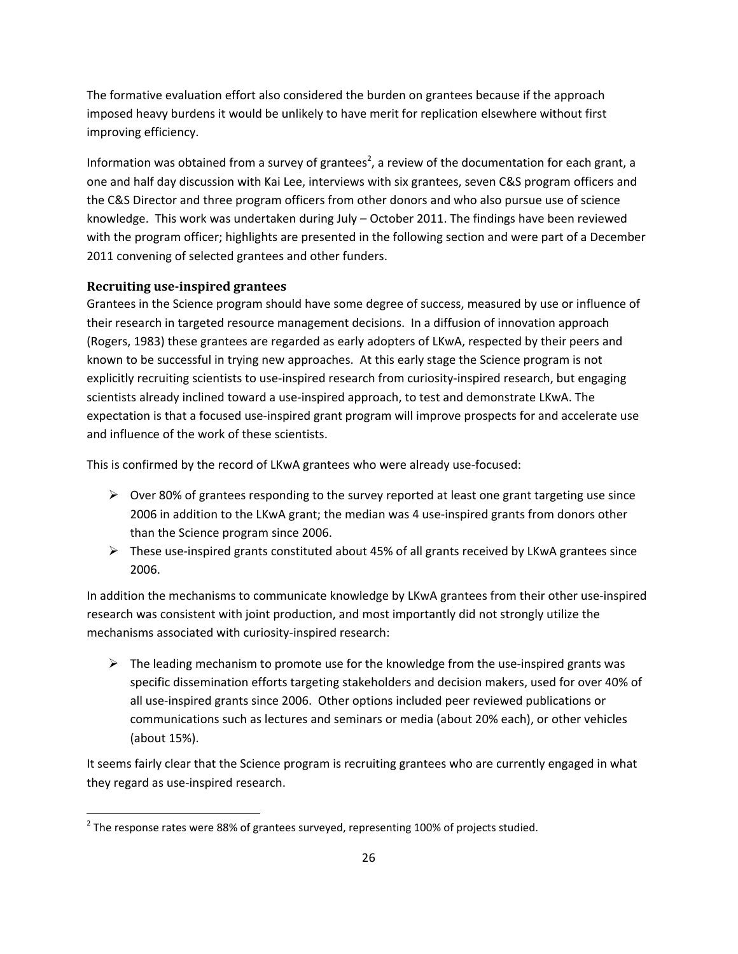The formative evaluation effort also considered the burden on grantees because if the approach imposed heavy burdens it would be unlikely to have merit for replication elsewhere without first improving efficiency.

Information was obtained from a survey of grantees<sup>2</sup>, a review of the documentation for each grant, a one and half day discussion with Kai Lee, interviews with six grantees, seven C&S program officers and the C&S Director and three program officers from other donors and who also pursue use of science knowledge. This work was undertaken during July – October 2011. The findings have been reviewed with the program officer; highlights are presented in the following section and were part of a December 2011 convening of selected grantees and other funders.

#### **Recruiting use‐inspired grantees**

Grantees in the Science program should have some degree of success, measured by use or influence of their research in targeted resource management decisions. In a diffusion of innovation approach (Rogers, 1983) these grantees are regarded as early adopters of LKwA, respected by their peers and known to be successful in trying new approaches. At this early stage the Science program is not explicitly recruiting scientists to use-inspired research from curiosity-inspired research, but engaging scientists already inclined toward a use-inspired approach, to test and demonstrate LKwA. The expectation is that a focused use‐inspired grant program will improve prospects for and accelerate use and influence of the work of these scientists.

This is confirmed by the record of LKwA grantees who were already use‐focused:

- $\triangleright$  Over 80% of grantees responding to the survey reported at least one grant targeting use since 2006 in addition to the LKwA grant; the median was 4 use‐inspired grants from donors other than the Science program since 2006.
- These use‐inspired grants constituted about 45% of all grants received by LKwA grantees since 2006.

In addition the mechanisms to communicate knowledge by LKwA grantees from their other use-inspired research was consistent with joint production, and most importantly did not strongly utilize the mechanisms associated with curiosity‐inspired research:

 $\triangleright$  The leading mechanism to promote use for the knowledge from the use-inspired grants was specific dissemination efforts targeting stakeholders and decision makers, used for over 40% of all use‐inspired grants since 2006. Other options included peer reviewed publications or communications such as lectures and seminars or media (about 20% each), or other vehicles (about 15%).

It seems fairly clear that the Science program is recruiting grantees who are currently engaged in what they regard as use‐inspired research.

 $2$  The response rates were 88% of grantees surveyed, representing 100% of projects studied.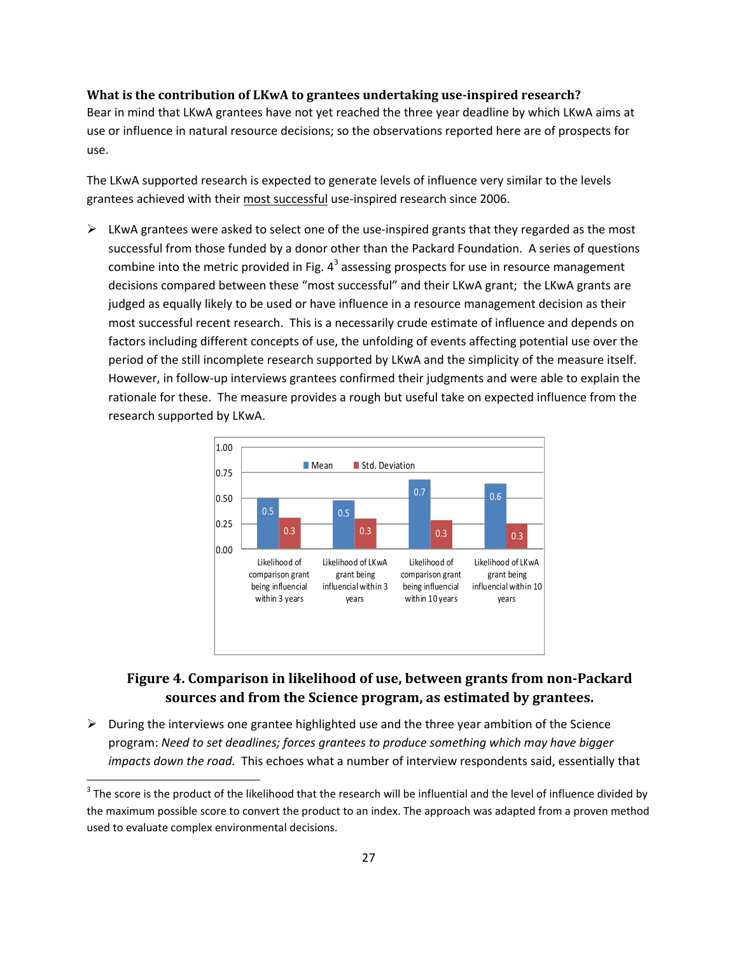#### **What is the contribution of LKwA to grantees undertaking use‐inspired research?**

Bear in mind that LKwA grantees have not yet reached the three year deadline by which LKwA aims at use or influence in natural resource decisions; so the observations reported here are of prospects for use.

The LKwA supported research is expected to generate levels of influence very similar to the levels grantees achieved with their most successful use-inspired research since 2006.

 $\triangleright$  LKwA grantees were asked to select one of the use-inspired grants that they regarded as the most successful from those funded by a donor other than the Packard Foundation. A series of questions combine into the metric provided in Fig.  $4<sup>3</sup>$  assessing prospects for use in resource management decisions compared between these "most successful" and their LKwA grant; the LKwA grants are judged as equally likely to be used or have influence in a resource management decision as their most successful recent research. This is a necessarily crude estimate of influence and depends on factors including different concepts of use, the unfolding of events affecting potential use over the period of the still incomplete research supported by LKwA and the simplicity of the measure itself. However, in follow‐up interviews grantees confirmed their judgments and were able to explain the rationale for these. The measure provides a rough but useful take on expected influence from the research supported by LKwA.



# **Figure 4. Comparison in likelihood of use, between grants from non‐Packard sources and from the Science program, as estimated by grantees.**

 $\triangleright$  During the interviews one grantee highlighted use and the three year ambition of the Science program: *Need to set deadlines; forces grantees to produce something which may have bigger impacts down the road.* This echoes what a number of interview respondents said, essentially that

 $3$  The score is the product of the likelihood that the research will be influential and the level of influence divided by the maximum possible score to convert the product to an index. The approach was adapted from a proven method used to evaluate complex environmental decisions.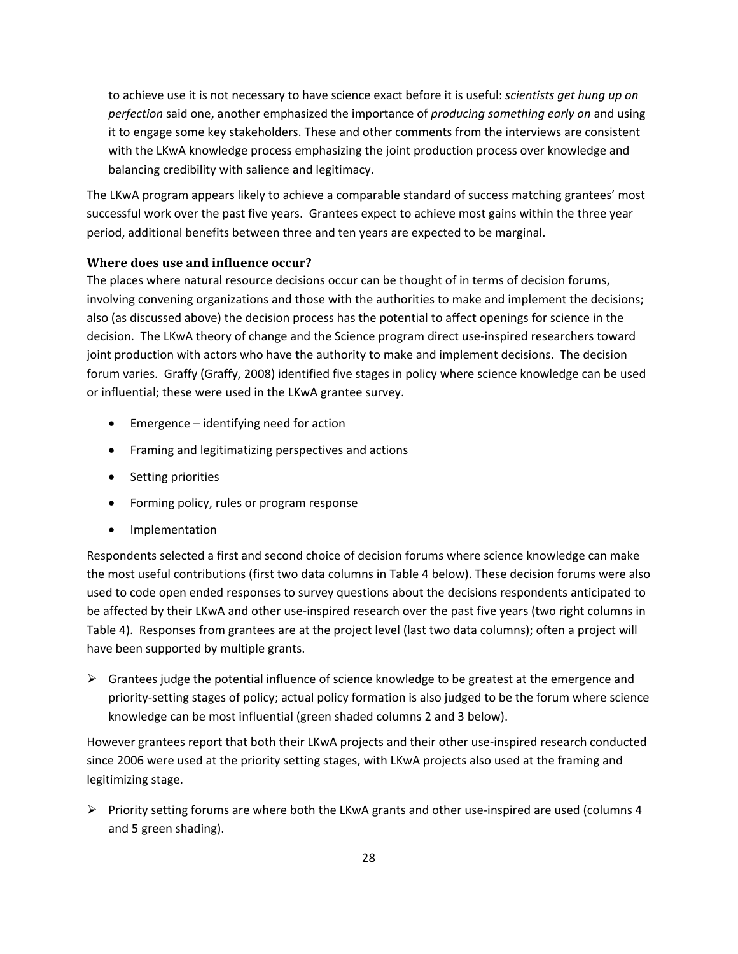to achieve use it is not necessary to have science exact before it is useful: *scientists get hung up on perfection* said one, another emphasized the importance of *producing something early on* and using it to engage some key stakeholders. These and other comments from the interviews are consistent with the LKwA knowledge process emphasizing the joint production process over knowledge and balancing credibility with salience and legitimacy.

The LKwA program appears likely to achieve a comparable standard of success matching grantees' most successful work over the past five years. Grantees expect to achieve most gains within the three year period, additional benefits between three and ten years are expected to be marginal.

#### **Where does use and influence occur?**

The places where natural resource decisions occur can be thought of in terms of decision forums, involving convening organizations and those with the authorities to make and implement the decisions; also (as discussed above) the decision process has the potential to affect openings for science in the decision. The LKwA theory of change and the Science program direct use‐inspired researchers toward joint production with actors who have the authority to make and implement decisions. The decision forum varies. Graffy (Graffy, 2008) identified five stages in policy where science knowledge can be used or influential; these were used in the LKwA grantee survey.

- Emergence identifying need for action
- Framing and legitimatizing perspectives and actions
- Setting priorities
- Forming policy, rules or program response
- Implementation

Respondents selected a first and second choice of decision forums where science knowledge can make the most useful contributions (first two data columns in Table 4 below). These decision forums were also used to code open ended responses to survey questions about the decisions respondents anticipated to be affected by their LKwA and other use-inspired research over the past five years (two right columns in Table 4). Responses from grantees are at the project level (last two data columns); often a project will have been supported by multiple grants.

 $\triangleright$  Grantees judge the potential influence of science knowledge to be greatest at the emergence and priority-setting stages of policy; actual policy formation is also judged to be the forum where science knowledge can be most influential (green shaded columns 2 and 3 below).

However grantees report that both their LKwA projects and their other use-inspired research conducted since 2006 were used at the priority setting stages, with LKwA projects also used at the framing and legitimizing stage.

 $▶$  Priority setting forums are where both the LKwA grants and other use-inspired are used (columns 4 and 5 green shading).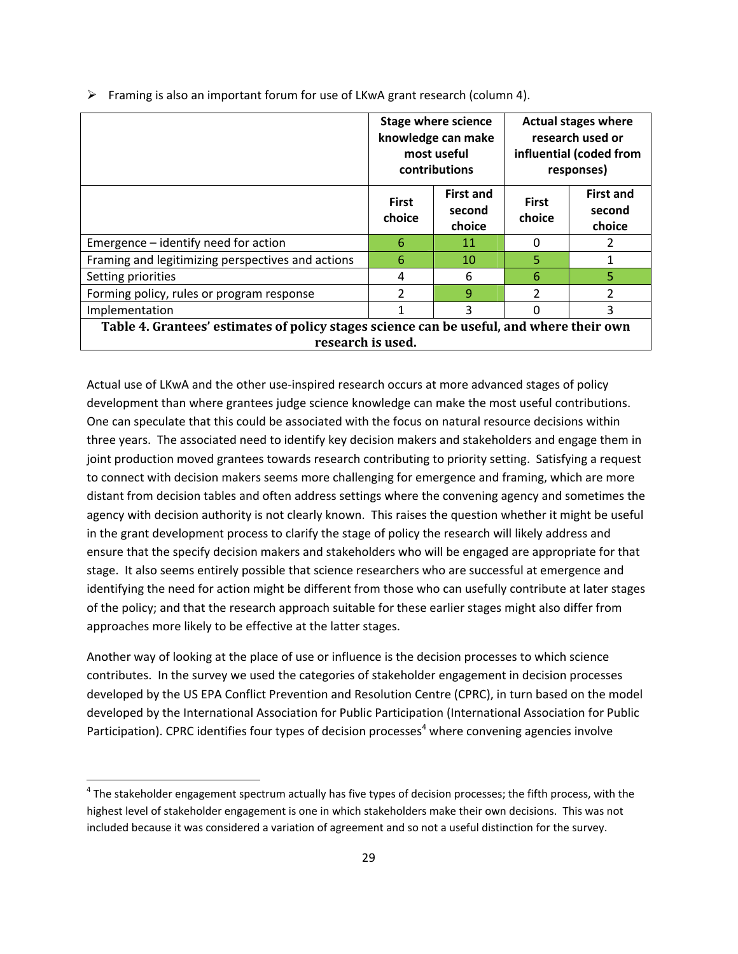|                                                                                                               | <b>Stage where science</b><br>knowledge can make<br>most useful<br>contributions |                                      | <b>Actual stages where</b><br>research used or<br>influential (coded from<br>responses) |                                      |
|---------------------------------------------------------------------------------------------------------------|----------------------------------------------------------------------------------|--------------------------------------|-----------------------------------------------------------------------------------------|--------------------------------------|
|                                                                                                               | <b>First</b><br>choice                                                           | <b>First and</b><br>second<br>choice | <b>First</b><br>choice                                                                  | <b>First and</b><br>second<br>choice |
| Emergence – identify need for action                                                                          | 6                                                                                | 11                                   | 0                                                                                       |                                      |
| Framing and legitimizing perspectives and actions                                                             | 6                                                                                | 10                                   | 5.                                                                                      |                                      |
| Setting priorities                                                                                            | 4                                                                                | 6                                    | 6                                                                                       | 5                                    |
| Forming policy, rules or program response                                                                     | $\mathcal{P}$                                                                    | $\mathbf{q}$                         | $\mathcal{P}$                                                                           | 2                                    |
| Implementation                                                                                                |                                                                                  | 3                                    | 0                                                                                       | 3                                    |
| Table 4. Grantees' estimates of policy stages science can be useful, and where their own<br>research is used. |                                                                                  |                                      |                                                                                         |                                      |

Framing is also an important forum for use of LKwA grant research (column 4).

Actual use of LKwA and the other use‐inspired research occurs at more advanced stages of policy development than where grantees judge science knowledge can make the most useful contributions. One can speculate that this could be associated with the focus on natural resource decisions within three years. The associated need to identify key decision makers and stakeholders and engage them in joint production moved grantees towards research contributing to priority setting. Satisfying a request to connect with decision makers seems more challenging for emergence and framing, which are more distant from decision tables and often address settings where the convening agency and sometimes the agency with decision authority is not clearly known. This raises the question whether it might be useful in the grant development process to clarify the stage of policy the research will likely address and ensure that the specify decision makers and stakeholders who will be engaged are appropriate for that stage. It also seems entirely possible that science researchers who are successful at emergence and identifying the need for action might be different from those who can usefully contribute at later stages of the policy; and that the research approach suitable for these earlier stages might also differ from approaches more likely to be effective at the latter stages.

Another way of looking at the place of use or influence is the decision processes to which science contributes. In the survey we used the categories of stakeholder engagement in decision processes developed by the US EPA Conflict Prevention and Resolution Centre (CPRC), in turn based on the model developed by the International Association for Public Participation (International Association for Public Participation). CPRC identifies four types of decision processes<sup>4</sup> where convening agencies involve

 $4$  The stakeholder engagement spectrum actually has five types of decision processes; the fifth process, with the highest level of stakeholder engagement is one in which stakeholders make their own decisions. This was not included because it was considered a variation of agreement and so not a useful distinction for the survey.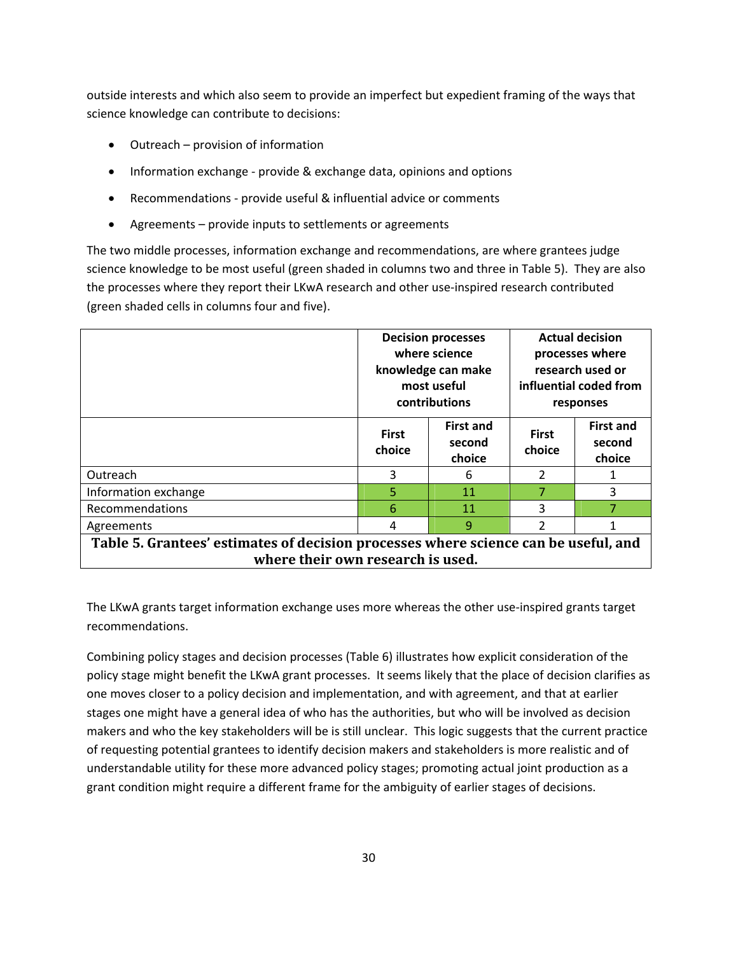outside interests and which also seem to provide an imperfect but expedient framing of the ways that science knowledge can contribute to decisions:

- Outreach provision of information
- Information exchange provide & exchange data, opinions and options
- Recommendations provide useful & influential advice or comments
- Agreements provide inputs to settlements or agreements

The two middle processes, information exchange and recommendations, are where grantees judge science knowledge to be most useful (green shaded in columns two and three in Table 5). They are also the processes where they report their LKwA research and other use‐inspired research contributed (green shaded cells in columns four and five).

|                                                                                                                          | <b>Decision processes</b><br>where science<br>knowledge can make<br>most useful<br>contributions |                                      | <b>Actual decision</b><br>processes where<br>research used or<br>influential coded from<br>responses |                                      |
|--------------------------------------------------------------------------------------------------------------------------|--------------------------------------------------------------------------------------------------|--------------------------------------|------------------------------------------------------------------------------------------------------|--------------------------------------|
|                                                                                                                          | <b>First</b><br>choice                                                                           | <b>First and</b><br>second<br>choice | <b>First</b><br>choice                                                                               | <b>First and</b><br>second<br>choice |
| Outreach                                                                                                                 | 3                                                                                                | 6                                    | $\overline{2}$                                                                                       |                                      |
| Information exchange                                                                                                     | 5                                                                                                | 11                                   | 7                                                                                                    | 3                                    |
| Recommendations                                                                                                          | 6                                                                                                | 11                                   | ς                                                                                                    |                                      |
| Agreements                                                                                                               | 4                                                                                                | 9                                    | 2                                                                                                    |                                      |
| Table 5. Grantees' estimates of decision processes where science can be useful, and<br>where their own research is used. |                                                                                                  |                                      |                                                                                                      |                                      |

The LKwA grants target information exchange uses more whereas the other use-inspired grants target recommendations.

Combining policy stages and decision processes (Table 6) illustrates how explicit consideration of the policy stage might benefit the LKwA grant processes. It seems likely that the place of decision clarifies as one moves closer to a policy decision and implementation, and with agreement, and that at earlier stages one might have a general idea of who has the authorities, but who will be involved as decision makers and who the key stakeholders will be is still unclear. This logic suggests that the current practice of requesting potential grantees to identify decision makers and stakeholders is more realistic and of understandable utility for these more advanced policy stages; promoting actual joint production as a grant condition might require a different frame for the ambiguity of earlier stages of decisions.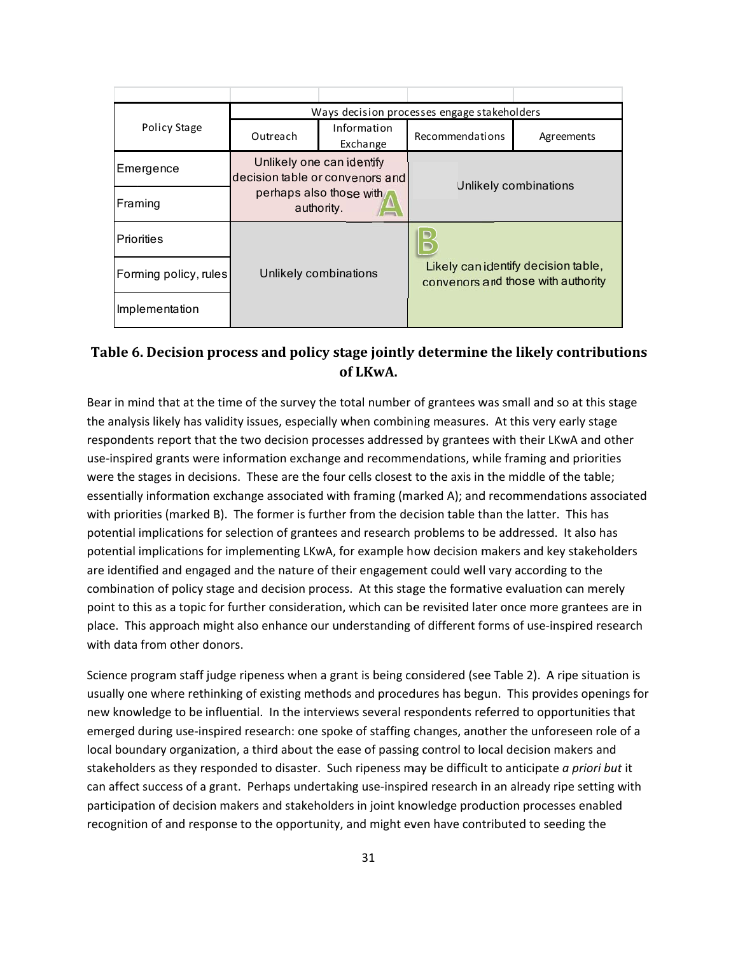|                       | Ways decision processes engage stakeholders                                                           |                         |                                                                          |            |
|-----------------------|-------------------------------------------------------------------------------------------------------|-------------------------|--------------------------------------------------------------------------|------------|
| Policy Stage          | Outreach                                                                                              | Information<br>Exchange | Recommendations                                                          | Agreements |
| Emergence             | Unlikely one can identify<br>decision table or convenors and<br>perhaps also those with<br>authority. |                         | Unlikely combinations                                                    |            |
| Framing               |                                                                                                       |                         |                                                                          |            |
| Priorities            | Unlikely combinations                                                                                 |                         |                                                                          |            |
| Forming policy, rules |                                                                                                       |                         | Likely canidentify decision table,<br>convenors and those with authority |            |
| Implementation        |                                                                                                       |                         |                                                                          |            |

# Table 6. Decision process and policy stage jointly determine the likely contributions **o of LKwA.**

Bear in mind that at the time of the survey the total number of grantees was small and so at this stage the analysis likely has validity issues, especially when combining measures. At this very early stage respondents report that the two decision processes addressed by grantees with their LKwA and other use-inspired grants were information exchange and recommendations, while framing and priorities were the stages in decisions. These are the four cells closest to the axis in the middle of the table; use-inspired grants were information exchange and recommendations, while framing and priorities<br>were the stages in decisions. These are the four cells closest to the axis in the middle of the table;<br>essentially informatio with priorities (marked B). The former is further from the decision table than the latter. This has potential implications for selection of grantees and research problems to be addressed. It also has potential implications for implementing LKwA, for example how decision makers and key stakeholders are identified and engaged and the nature of their engagement could well vary according to the combination of policy stage and decision process. At this stage the formative evaluation can merely combination of policy stage and decision process. At this stage the formative evaluation can merely<br>point to this as a topic for further consideration, which can be revisited later once more grantees are in place. This approach might also enhance our understanding of different forms of use-inspired research with data from other donors.

Science program staff judge ripeness when a grant is being considered (see Table 2). A ripe situation is usually one where rethinking of existing methods and procedures has begun. This provides openings for new knowledge to be influential. In the interviews several respondents referred to opportunities that emerged during use-inspired research: one spoke of staffing changes, another the unforeseen role of a local boundary organization, a third about the ease of passing control to local decision makers and stakeholders as they responded to disaster. Such ripeness may be difficult to anticipate *a priori but* it can affect success of a grant. Perhaps undertaking use-inspired research in an already ripe setting with participation of decision makers and stakeholders in joint knowledge production processes enabled recognition of and response to the opportunity, and might even have contributed to seeding the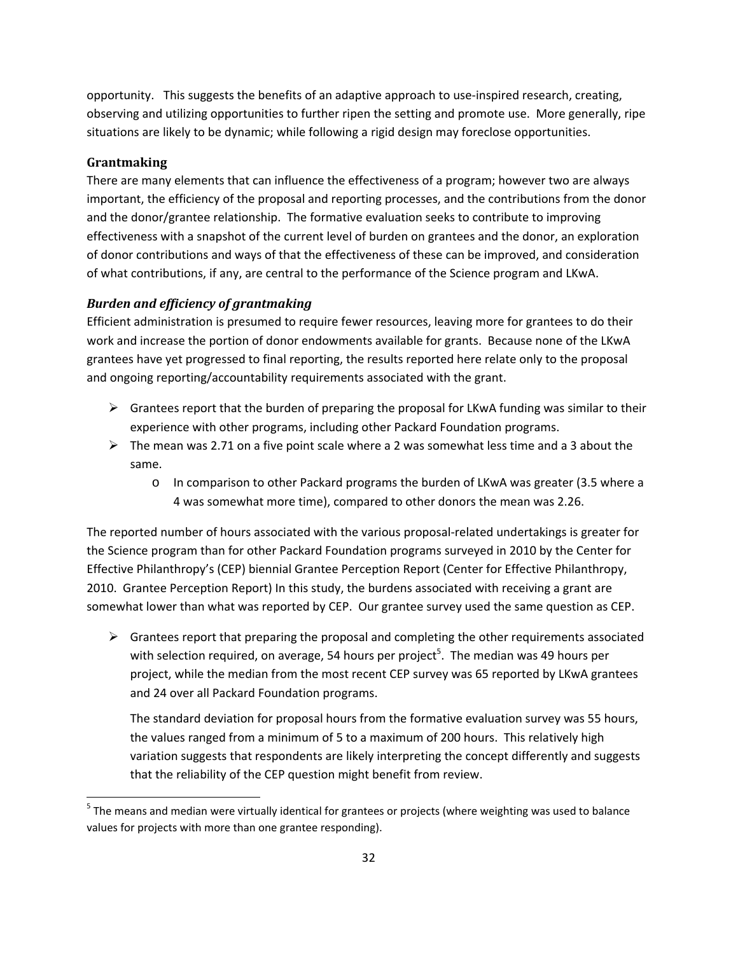opportunity. This suggests the benefits of an adaptive approach to use‐inspired research, creating, observing and utilizing opportunities to further ripen the setting and promote use. More generally, ripe situations are likely to be dynamic; while following a rigid design may foreclose opportunities.

### **Grantmaking**

There are many elements that can influence the effectiveness of a program; however two are always important, the efficiency of the proposal and reporting processes, and the contributions from the donor and the donor/grantee relationship. The formative evaluation seeks to contribute to improving effectiveness with a snapshot of the current level of burden on grantees and the donor, an exploration of donor contributions and ways of that the effectiveness of these can be improved, and consideration of what contributions, if any, are central to the performance of the Science program and LKwA.

## *Burden and efficiency of grantmaking*

Efficient administration is presumed to require fewer resources, leaving more for grantees to do their work and increase the portion of donor endowments available for grants. Because none of the LKwA grantees have yet progressed to final reporting, the results reported here relate only to the proposal and ongoing reporting/accountability requirements associated with the grant.

- $\triangleright$  Grantees report that the burden of preparing the proposal for LKwA funding was similar to their experience with other programs, including other Packard Foundation programs.
- $\triangleright$  The mean was 2.71 on a five point scale where a 2 was somewhat less time and a 3 about the same.
	- o In comparison to other Packard programs the burden of LKwA was greater (3.5 where a 4 was somewhat more time), compared to other donors the mean was 2.26.

The reported number of hours associated with the various proposal‐related undertakings is greater for the Science program than for other Packard Foundation programs surveyed in 2010 by the Center for Effective Philanthropy's (CEP) biennial Grantee Perception Report (Center for Effective Philanthropy, 2010. Grantee Perception Report) In this study, the burdens associated with receiving a grant are somewhat lower than what was reported by CEP. Our grantee survey used the same question as CEP.

 $\triangleright$  Grantees report that preparing the proposal and completing the other requirements associated with selection required, on average, 54 hours per project<sup>5</sup>. The median was 49 hours per project, while the median from the most recent CEP survey was 65 reported by LKwA grantees and 24 over all Packard Foundation programs.

The standard deviation for proposal hours from the formative evaluation survey was 55 hours, the values ranged from a minimum of 5 to a maximum of 200 hours. This relatively high variation suggests that respondents are likely interpreting the concept differently and suggests that the reliability of the CEP question might benefit from review.

 $5$  The means and median were virtually identical for grantees or projects (where weighting was used to balance values for projects with more than one grantee responding).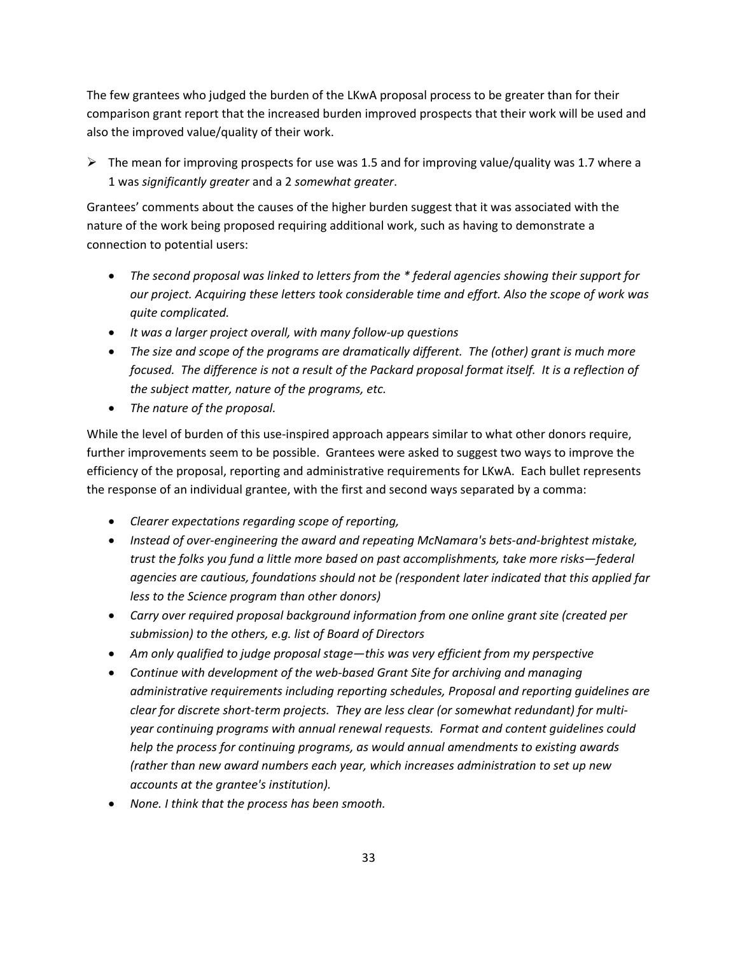The few grantees who judged the burden of the LKwA proposal process to be greater than for their comparison grant report that the increased burden improved prospects that their work will be used and also the improved value/quality of their work.

 $\triangleright$  The mean for improving prospects for use was 1.5 and for improving value/quality was 1.7 where a 1 was *significantly greater* and a 2 *somewhat greater*.

Grantees' comments about the causes of the higher burden suggest that it was associated with the nature of the work being proposed requiring additional work, such as having to demonstrate a connection to potential users:

- *The second proposal was linked to letters from the \* federal agencies showing their support for our project. Acquiring these letters took considerable time and effort. Also the scope of work was quite complicated.*
- *It was a larger project overall, with many follow‐up questions*
- *The size and scope of the programs are dramatically different. The (other) grant is much more* focused. The difference is not a result of the Packard proposal format itself. It is a reflection of *the subject matter, nature of the programs, etc.*
- *The nature of the proposal.*

While the level of burden of this use-inspired approach appears similar to what other donors require, further improvements seem to be possible. Grantees were asked to suggest two ways to improve the efficiency of the proposal, reporting and administrative requirements for LKwA. Each bullet represents the response of an individual grantee, with the first and second ways separated by a comma:

- *Clearer expectations regarding scope of reporting,*
- *Instead of over‐engineering the award and repeating McNamara's bets‐and‐brightest mistake, trust the folks you fund a little more based on past accomplishments, take more risks—federal agencies are cautious, foundations should not be (respondent later indicated that this applied far less to the Science program than other donors)*
- *Carry over required proposal background information from one online grant site (created per submission) to the others, e.g. list of Board of Directors*
- *Am only qualified to judge proposal stage—this was very efficient from my perspective*
- *Continue with development of the web‐based Grant Site for archiving and managing administrative requirements including reporting schedules, Proposal and reporting guidelines are clear for discrete short‐term projects. They are less clear (or somewhat redundant) for multi‐ year continuing programs with annual renewal requests. Format and content guidelines could help the process for continuing programs, as would annual amendments to existing awards (rather than new award numbers each year, which increases administration to set up new accounts at the grantee's institution).*
- *None. I think that the process has been smooth.*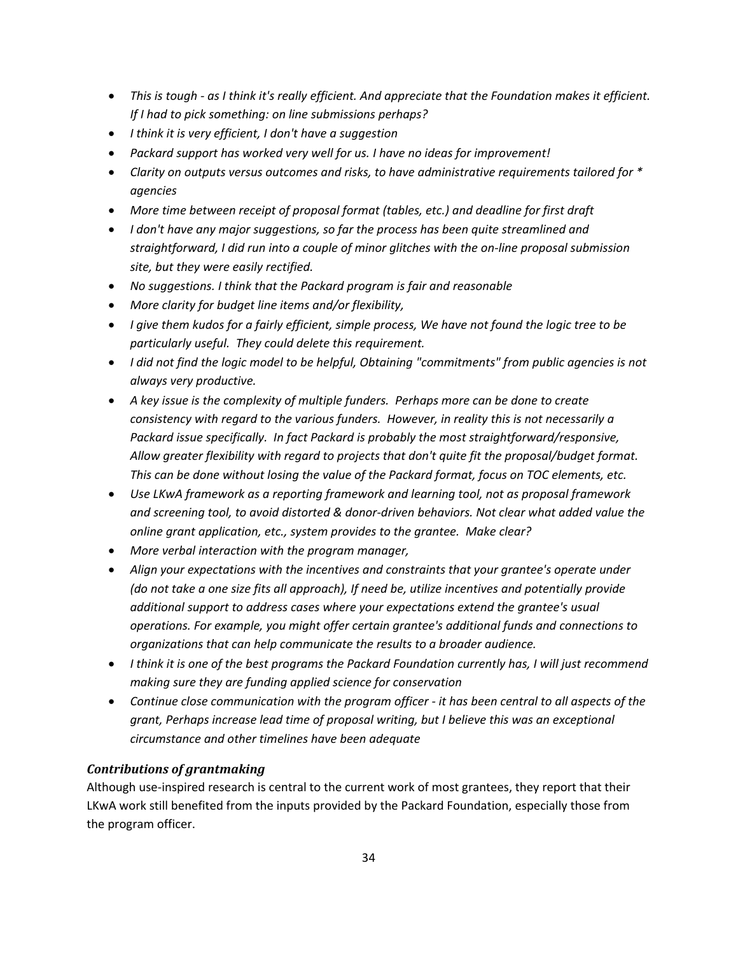- This is tough as I think it's really efficient. And appreciate that the Foundation makes it efficient. *If I had to pick something: on line submissions perhaps?*
- *I think it is very efficient, I don't have a suggestion*
- *Packard support has worked very well for us. I have no ideas for improvement!*
- *Clarity on outputs versus outcomes and risks, to have administrative requirements tailored for \* agencies*
- *More time between receipt of proposal format (tables, etc.) and deadline for first draft*
- *I don't have any major suggestions, so far the process has been quite streamlined and straightforward, I did run into a couple of minor glitches with the on‐line proposal submission site, but they were easily rectified.*
- *No suggestions. I think that the Packard program is fair and reasonable*
- *More clarity for budget line items and/or flexibility,*
- I give them kudos for a fairly efficient, simple process, We have not found the logic tree to be *particularly useful. They could delete this requirement.*
- *I did not find the logic model to be helpful, Obtaining "commitments" from public agencies is not always very productive.*
- *A key issue is the complexity of multiple funders. Perhaps more can be done to create consistency with regard to the various funders. However, in reality this is not necessarily a Packard issue specifically. In fact Packard is probably the most straightforward/responsive, Allow greater flexibility with regard to projects that don't quite fit the proposal/budget format. This can be done without losing the value of the Packard format, focus on TOC elements, etc.*
- *Use LKwA framework as a reporting framework and learning tool, not as proposal framework and screening tool, to avoid distorted & donor‐driven behaviors. Not clear what added value the online grant application, etc., system provides to the grantee. Make clear?*
- *More verbal interaction with the program manager,*
- *Align your expectations with the incentives and constraints that your grantee's operate under (do not take a one size fits all approach), If need be, utilize incentives and potentially provide additional support to address cases where your expectations extend the grantee's usual operations. For example, you might offer certain grantee's additional funds and connections to organizations that can help communicate the results to a broader audience.*
- *I think it is one of the best programs the Packard Foundation currently has, I will just recommend making sure they are funding applied science for conservation*
- *Continue close communication with the program officer ‐ it has been central to all aspects of the grant, Perhaps increase lead time of proposal writing, but I believe this was an exceptional circumstance and other timelines have been adequate*

## *Contributions of grantmaking*

Although use‐inspired research is central to the current work of most grantees, they report that their LKwA work still benefited from the inputs provided by the Packard Foundation, especially those from the program officer.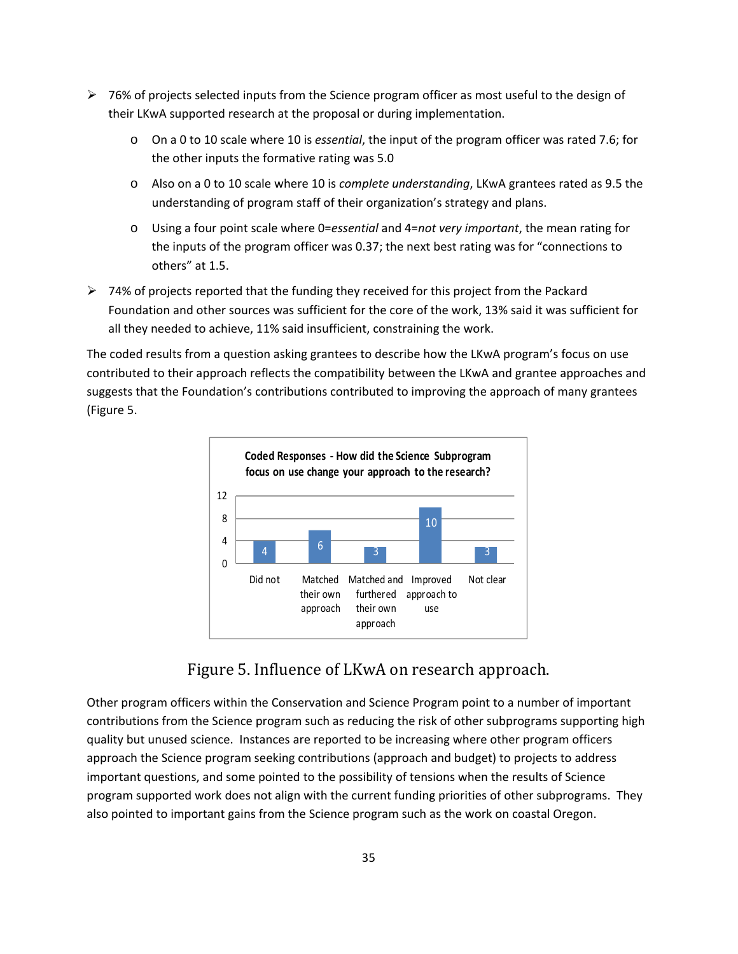- $\geq 76\%$  of projects selected inputs from the Science program officer as most useful to the design of their LKwA supported research at the proposal or during implementation.
	- o On a 0 to 10 scale where 10 is *essential*, the input of the program officer was rated 7.6; for the other inputs the formative rating was 5.0
	- o Also on a 0 to 10 scale where 10 is *complete understanding*, LKwA grantees rated as 9.5 the understanding of program staff of their organization's strategy and plans.
	- o Using a four point scale where 0=*essential* and 4=*not very important*, the mean rating for the inputs of the program officer was 0.37; the next best rating was for "connections to others" at 1.5.
- $\triangleright$  74% of projects reported that the funding they received for this project from the Packard Foundation and other sources was sufficient for the core of the work, 13% said it was sufficient for all they needed to achieve, 11% said insufficient, constraining the work.

The coded results from a question asking grantees to describe how the LKwA program's focus on use contributed to their approach reflects the compatibility between the LKwA and grantee approaches and suggests that the Foundation's contributions contributed to improving the approach of many grantees (Figure 5.



Figure 5. Influence of LKwA on research approach.

Other program officers within the Conservation and Science Program point to a number of important contributions from the Science program such as reducing the risk of other subprograms supporting high quality but unused science. Instances are reported to be increasing where other program officers approach the Science program seeking contributions (approach and budget) to projects to address important questions, and some pointed to the possibility of tensions when the results of Science program supported work does not align with the current funding priorities of other subprograms. They also pointed to important gains from the Science program such as the work on coastal Oregon.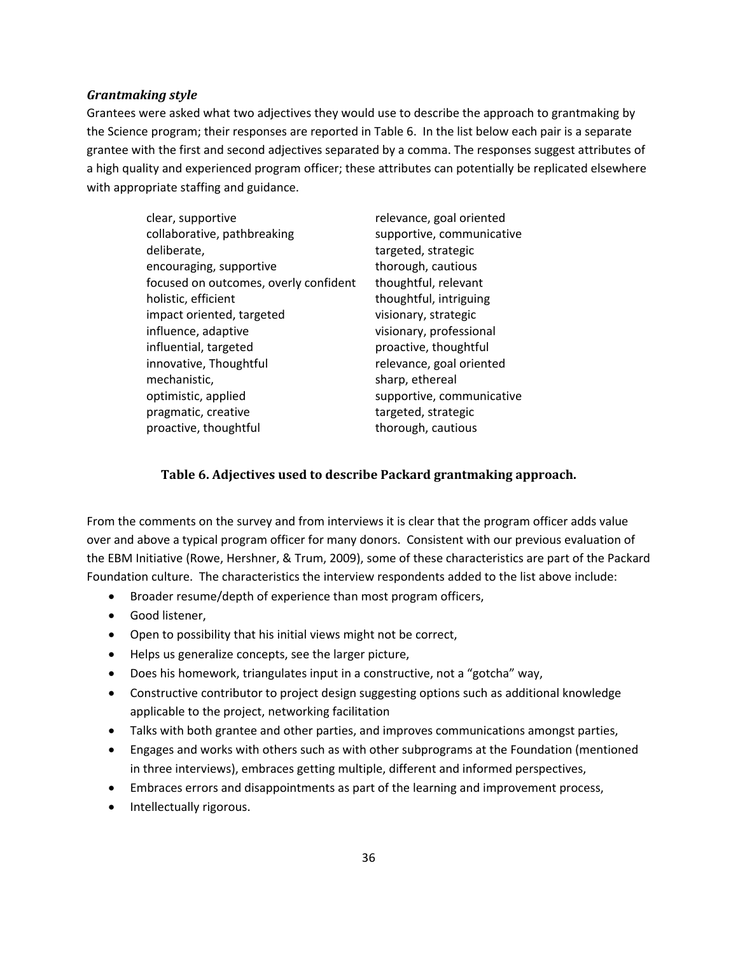#### *Grantmaking style*

Grantees were asked what two adjectives they would use to describe the approach to grantmaking by the Science program; their responses are reported in Table 6. In the list below each pair is a separate grantee with the first and second adjectives separated by a comma. The responses suggest attributes of a high quality and experienced program officer; these attributes can potentially be replicated elsewhere with appropriate staffing and guidance.

| clear, supportive                     | relevance, goal oriented  |
|---------------------------------------|---------------------------|
| collaborative, pathbreaking           | supportive, communicative |
| deliberate,                           | targeted, strategic       |
| encouraging, supportive               | thorough, cautious        |
| focused on outcomes, overly confident | thoughtful, relevant      |
| holistic, efficient                   | thoughtful, intriguing    |
| impact oriented, targeted             | visionary, strategic      |
| influence, adaptive                   | visionary, professional   |
| influential, targeted                 | proactive, thoughtful     |
| innovative, Thoughtful                | relevance, goal oriented  |
| mechanistic,                          | sharp, ethereal           |
| optimistic, applied                   | supportive, communicative |
| pragmatic, creative                   | targeted, strategic       |
| proactive, thoughtful                 | thorough, cautious        |

#### **Table 6. Adjectives used to describe Packard grantmaking approach.**

From the comments on the survey and from interviews it is clear that the program officer adds value over and above a typical program officer for many donors. Consistent with our previous evaluation of the EBM Initiative (Rowe, Hershner, & Trum, 2009), some of these characteristics are part of the Packard Foundation culture. The characteristics the interview respondents added to the list above include:

- Broader resume/depth of experience than most program officers,
- Good listener,
- Open to possibility that his initial views might not be correct,
- Helps us generalize concepts, see the larger picture,
- Does his homework, triangulates input in a constructive, not a "gotcha" way,
- Constructive contributor to project design suggesting options such as additional knowledge applicable to the project, networking facilitation
- Talks with both grantee and other parties, and improves communications amongst parties,
- Engages and works with others such as with other subprograms at the Foundation (mentioned in three interviews), embraces getting multiple, different and informed perspectives,
- Embraces errors and disappointments as part of the learning and improvement process,
- Intellectually rigorous.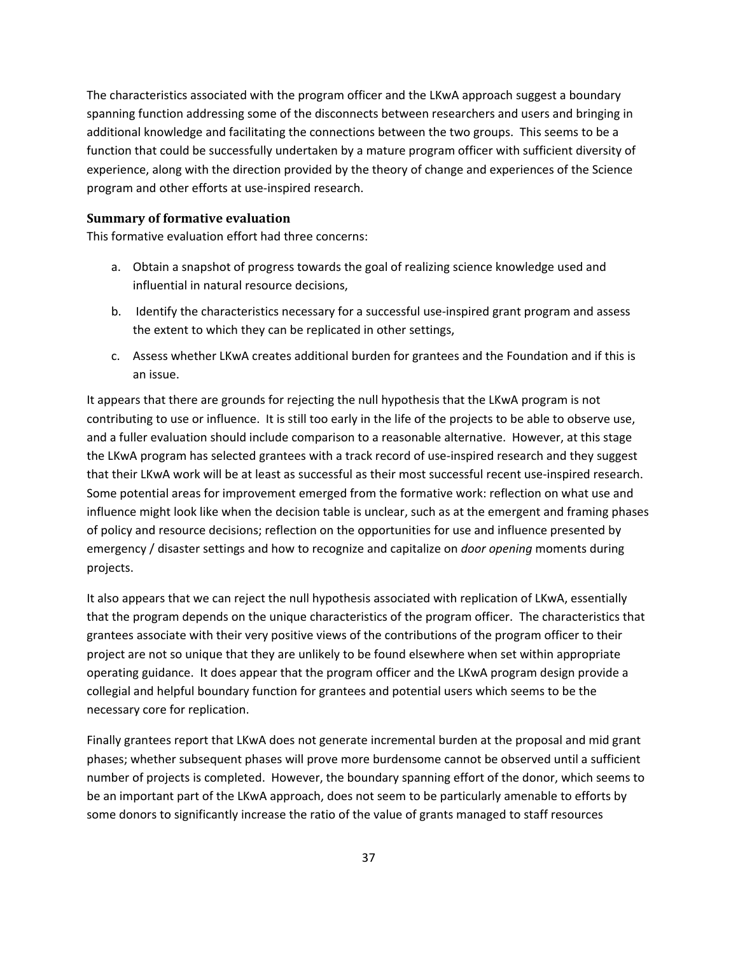The characteristics associated with the program officer and the LKwA approach suggest a boundary spanning function addressing some of the disconnects between researchers and users and bringing in additional knowledge and facilitating the connections between the two groups. This seems to be a function that could be successfully undertaken by a mature program officer with sufficient diversity of experience, along with the direction provided by the theory of change and experiences of the Science program and other efforts at use‐inspired research.

#### **Summary of formative evaluation**

This formative evaluation effort had three concerns:

- a. Obtain a snapshot of progress towards the goal of realizing science knowledge used and influential in natural resource decisions,
- b. Identify the characteristics necessary for a successful use‐inspired grant program and assess the extent to which they can be replicated in other settings,
- c. Assess whether LKwA creates additional burden for grantees and the Foundation and if this is an issue.

It appears that there are grounds for rejecting the null hypothesis that the LKwA program is not contributing to use or influence. It is still too early in the life of the projects to be able to observe use, and a fuller evaluation should include comparison to a reasonable alternative. However, at this stage the LKwA program has selected grantees with a track record of use-inspired research and they suggest that their LKwA work will be at least as successful as their most successful recent use‐inspired research. Some potential areas for improvement emerged from the formative work: reflection on what use and influence might look like when the decision table is unclear, such as at the emergent and framing phases of policy and resource decisions; reflection on the opportunities for use and influence presented by emergency / disaster settings and how to recognize and capitalize on *door opening* moments during projects.

It also appears that we can reject the null hypothesis associated with replication of LKwA, essentially that the program depends on the unique characteristics of the program officer. The characteristics that grantees associate with their very positive views of the contributions of the program officer to their project are not so unique that they are unlikely to be found elsewhere when set within appropriate operating guidance. It does appear that the program officer and the LKwA program design provide a collegial and helpful boundary function for grantees and potential users which seems to be the necessary core for replication.

Finally grantees report that LKwA does not generate incremental burden at the proposal and mid grant phases; whether subsequent phases will prove more burdensome cannot be observed until a sufficient number of projects is completed. However, the boundary spanning effort of the donor, which seems to be an important part of the LKwA approach, does not seem to be particularly amenable to efforts by some donors to significantly increase the ratio of the value of grants managed to staff resources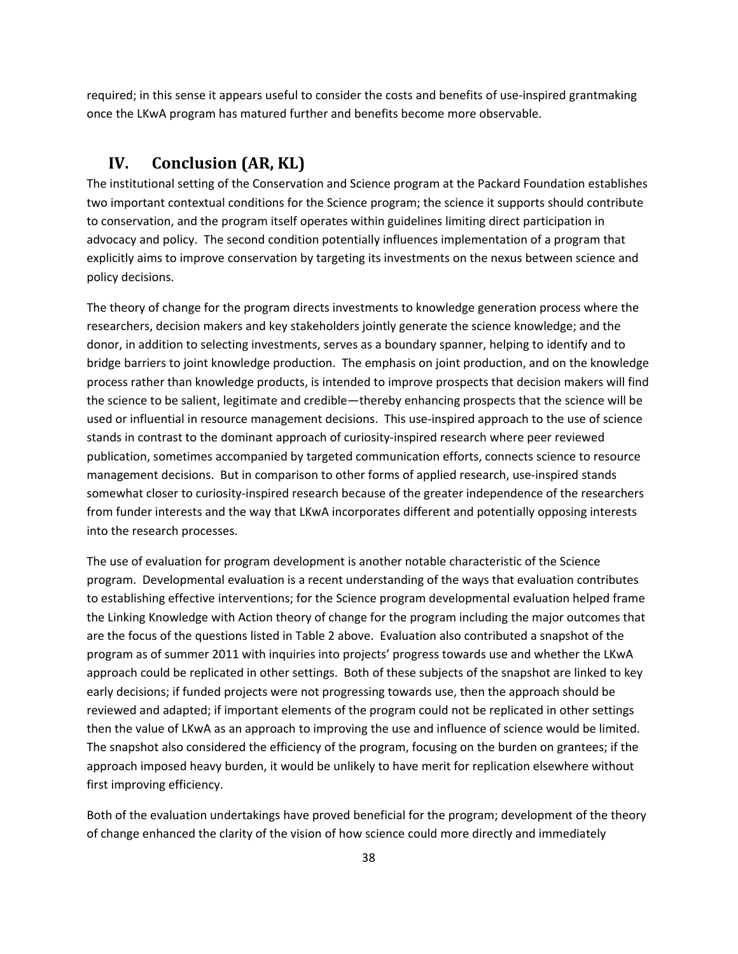required; in this sense it appears useful to consider the costs and benefits of use‐inspired grantmaking once the LKwA program has matured further and benefits become more observable.

# **IV. Conclusion (AR, KL)**

The institutional setting of the Conservation and Science program at the Packard Foundation establishes two important contextual conditions for the Science program; the science it supports should contribute to conservation, and the program itself operates within guidelines limiting direct participation in advocacy and policy. The second condition potentially influences implementation of a program that explicitly aims to improve conservation by targeting its investments on the nexus between science and policy decisions.

The theory of change for the program directs investments to knowledge generation process where the researchers, decision makers and key stakeholders jointly generate the science knowledge; and the donor, in addition to selecting investments, serves as a boundary spanner, helping to identify and to bridge barriers to joint knowledge production. The emphasis on joint production, and on the knowledge process rather than knowledge products, is intended to improve prospects that decision makers will find the science to be salient, legitimate and credible—thereby enhancing prospects that the science will be used or influential in resource management decisions. This use‐inspired approach to the use of science stands in contrast to the dominant approach of curiosity‐inspired research where peer reviewed publication, sometimes accompanied by targeted communication efforts, connects science to resource management decisions. But in comparison to other forms of applied research, use-inspired stands somewhat closer to curiosity-inspired research because of the greater independence of the researchers from funder interests and the way that LKwA incorporates different and potentially opposing interests into the research processes.

The use of evaluation for program development is another notable characteristic of the Science program. Developmental evaluation is a recent understanding of the ways that evaluation contributes to establishing effective interventions; for the Science program developmental evaluation helped frame the Linking Knowledge with Action theory of change for the program including the major outcomes that are the focus of the questions listed in Table 2 above. Evaluation also contributed a snapshot of the program as of summer 2011 with inquiries into projects' progress towards use and whether the LKwA approach could be replicated in other settings. Both of these subjects of the snapshot are linked to key early decisions; if funded projects were not progressing towards use, then the approach should be reviewed and adapted; if important elements of the program could not be replicated in other settings then the value of LKwA as an approach to improving the use and influence of science would be limited. The snapshot also considered the efficiency of the program, focusing on the burden on grantees; if the approach imposed heavy burden, it would be unlikely to have merit for replication elsewhere without first improving efficiency.

Both of the evaluation undertakings have proved beneficial for the program; development of the theory of change enhanced the clarity of the vision of how science could more directly and immediately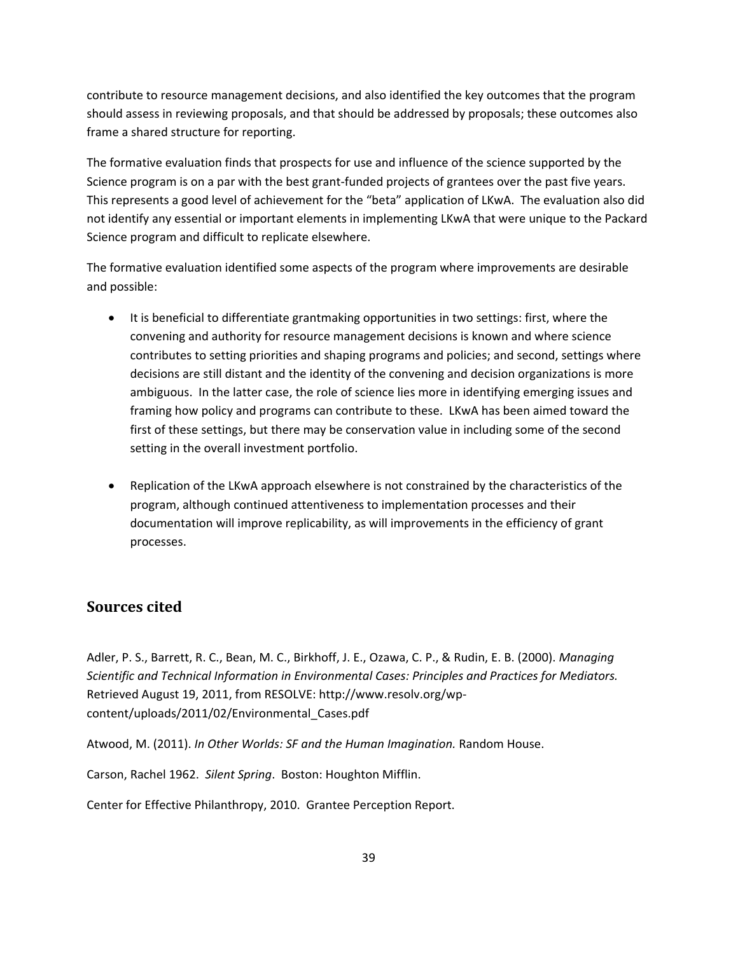contribute to resource management decisions, and also identified the key outcomes that the program should assess in reviewing proposals, and that should be addressed by proposals; these outcomes also frame a shared structure for reporting.

The formative evaluation finds that prospects for use and influence of the science supported by the Science program is on a par with the best grant-funded projects of grantees over the past five years. This represents a good level of achievement for the "beta" application of LKwA. The evaluation also did not identify any essential or important elements in implementing LKwA that were unique to the Packard Science program and difficult to replicate elsewhere.

The formative evaluation identified some aspects of the program where improvements are desirable and possible:

- It is beneficial to differentiate grantmaking opportunities in two settings: first, where the convening and authority for resource management decisions is known and where science contributes to setting priorities and shaping programs and policies; and second, settings where decisions are still distant and the identity of the convening and decision organizations is more ambiguous. In the latter case, the role of science lies more in identifying emerging issues and framing how policy and programs can contribute to these. LKwA has been aimed toward the first of these settings, but there may be conservation value in including some of the second setting in the overall investment portfolio.
- Replication of the LKwA approach elsewhere is not constrained by the characteristics of the program, although continued attentiveness to implementation processes and their documentation will improve replicability, as will improvements in the efficiency of grant processes.

## **Sources cited**

Adler, P. S., Barrett, R. C., Bean, M. C., Birkhoff, J. E., Ozawa, C. P., & Rudin, E. B. (2000). *Managing Scientific and Technical Information in Environmental Cases: Principles and Practices for Mediators.* Retrieved August 19, 2011, from RESOLVE: http://www.resolv.org/wp‐ content/uploads/2011/02/Environmental\_Cases.pdf

Atwood, M. (2011). *In Other Worlds: SF and the Human Imagination.* Random House.

Carson, Rachel 1962. *Silent Spring*. Boston: Houghton Mifflin.

Center for Effective Philanthropy, 2010. Grantee Perception Report.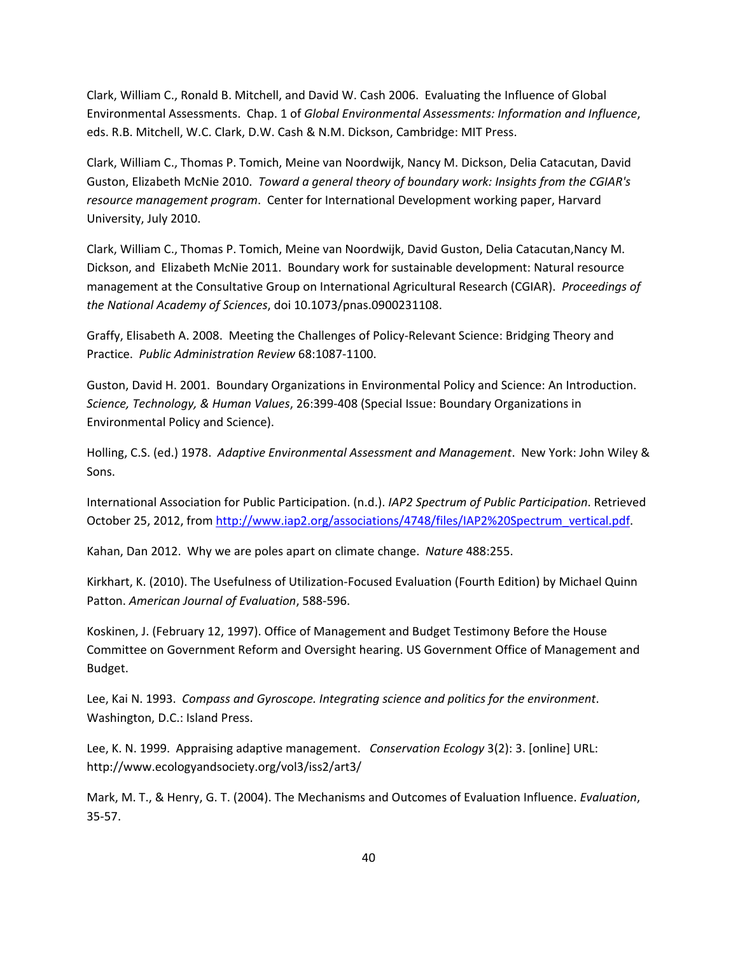Clark, William C., Ronald B. Mitchell, and David W. Cash 2006. Evaluating the Influence of Global Environmental Assessments. Chap. 1 of *Global Environmental Assessments: Information and Influence*, eds. R.B. Mitchell, W.C. Clark, D.W. Cash & N.M. Dickson, Cambridge: MIT Press.

Clark, William C., Thomas P. Tomich, Meine van Noordwijk, Nancy M. Dickson, Delia Catacutan, David Guston, Elizabeth McNie 2010. *Toward a general theory of boundary work: Insights from the CGIAR's resource management program*. Center for International Development working paper, Harvard University, July 2010.

Clark, William C., Thomas P. Tomich, Meine van Noordwijk, David Guston, Delia Catacutan,Nancy M. Dickson, and Elizabeth McNie 2011. Boundary work for sustainable development: Natural resource management at the Consultative Group on International Agricultural Research (CGIAR). *Proceedings of the National Academy of Sciences*, doi 10.1073/pnas.0900231108.

Graffy, Elisabeth A. 2008. Meeting the Challenges of Policy‐Relevant Science: Bridging Theory and Practice. *Public Administration Review* 68:1087‐1100.

Guston, David H. 2001. Boundary Organizations in Environmental Policy and Science: An Introduction. *Science, Technology, & Human Values*, 26:399‐408 (Special Issue: Boundary Organizations in Environmental Policy and Science).

Holling, C.S. (ed.) 1978. *Adaptive Environmental Assessment and Management*. New York: John Wiley & Sons.

International Association for Public Participation. (n.d.). *IAP2 Spectrum of Public Participation*. Retrieved October 25, 2012, from http://www.iap2.org/associations/4748/files/IAP2%20Spectrum\_vertical.pdf.

Kahan, Dan 2012. Why we are poles apart on climate change. *Nature* 488:255.

Kirkhart, K. (2010). The Usefulness of Utilization‐Focused Evaluation (Fourth Edition) by Michael Quinn Patton. *American Journal of Evaluation*, 588‐596.

Koskinen, J. (February 12, 1997). Office of Management and Budget Testimony Before the House Committee on Government Reform and Oversight hearing. US Government Office of Management and Budget.

Lee, Kai N. 1993. *Compass and Gyroscope. Integrating science and politics for the environment*. Washington, D.C.: Island Press.

Lee, K. N. 1999. Appraising adaptive management. *Conservation Ecology* 3(2): 3. [online] URL: http://www.ecologyandsociety.org/vol3/iss2/art3/

Mark, M. T., & Henry, G. T. (2004). The Mechanisms and Outcomes of Evaluation Influence. *Evaluation*, 35‐57.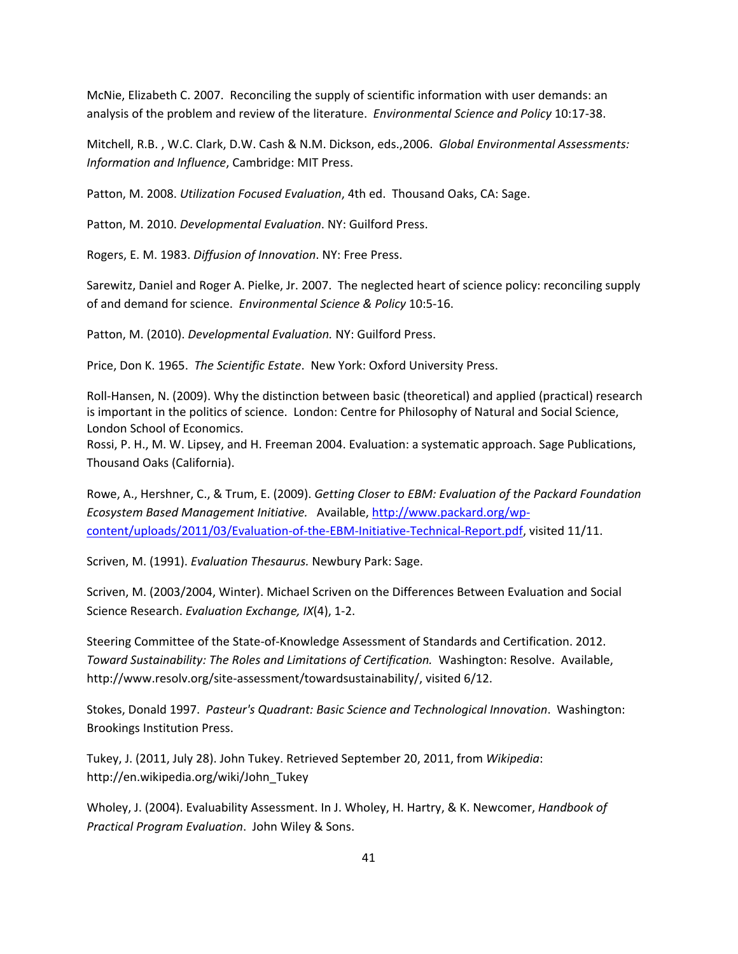McNie, Elizabeth C. 2007. Reconciling the supply of scientific information with user demands: an analysis of the problem and review of the literature. *Environmental Science and Policy* 10:17‐38.

Mitchell, R.B. , W.C. Clark, D.W. Cash & N.M. Dickson, eds.,2006. *Global Environmental Assessments: Information and Influence*, Cambridge: MIT Press.

Patton, M. 2008. *Utilization Focused Evaluation*, 4th ed. Thousand Oaks, CA: Sage.

Patton, M. 2010. *Developmental Evaluation*. NY: Guilford Press.

Rogers, E. M. 1983. *Diffusion of Innovation*. NY: Free Press.

Sarewitz, Daniel and Roger A. Pielke, Jr. 2007. The neglected heart of science policy: reconciling supply of and demand for science. *Environmental Science & Policy* 10:5‐16.

Patton, M. (2010). *Developmental Evaluation.* NY: Guilford Press.

Price, Don K. 1965. *The Scientific Estate*. New York: Oxford University Press.

Roll‐Hansen, N. (2009). Why the distinction between basic (theoretical) and applied (practical) research is important in the politics of science. London: Centre for Philosophy of Natural and Social Science, London School of Economics.

Rossi, P. H., M. W. Lipsey, and H. Freeman 2004. Evaluation: a systematic approach. Sage Publications, Thousand Oaks (California).

Rowe, A., Hershner, C., & Trum, E. (2009). *Getting Closer to EBM: Evaluation of the Packard Foundation Ecosystem Based Management Initiative.* Available, http://www.packard.org/wp‐ content/uploads/2011/03/Evaluation‐of‐the‐EBM‐Initiative‐Technical‐Report.pdf, visited 11/11.

Scriven, M. (1991). *Evaluation Thesaurus.* Newbury Park: Sage.

Scriven, M. (2003/2004, Winter). Michael Scriven on the Differences Between Evaluation and Social Science Research. *Evaluation Exchange, IX*(4), 1‐2.

Steering Committee of the State‐of‐Knowledge Assessment of Standards and Certification. 2012. *Toward Sustainability: The Roles and Limitations of Certification.* Washington: Resolve. Available, http://www.resolv.org/site-assessment/towardsustainability/, visited 6/12.

Stokes, Donald 1997. *Pasteur's Quadrant: Basic Science and Technological Innovation*. Washington: Brookings Institution Press.

Tukey, J. (2011, July 28). John Tukey. Retrieved September 20, 2011, from *Wikipedia*: http://en.wikipedia.org/wiki/John\_Tukey

Wholey, J. (2004). Evaluability Assessment. In J. Wholey, H. Hartry, & K. Newcomer, *Handbook of Practical Program Evaluation*. John Wiley & Sons.